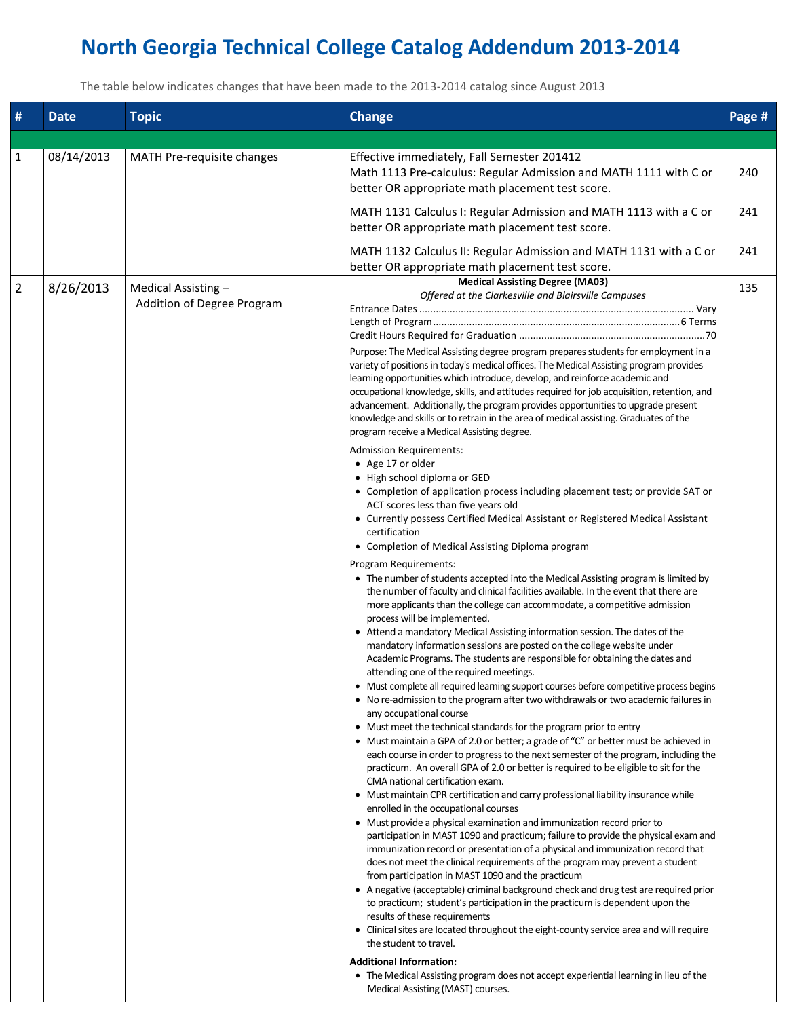## **North Georgia Technical College Catalog Addendum 2013-2014**

The table below indicates changes that have been made to the 2013-2014 catalog since August 2013

| #              | <b>Date</b> | <b>Topic</b>                                      | <b>Change</b>                                                                                                                                                                                                                                                                                                                                                                                                                                                                                                                                                                                                                                                                                                                                                                                                                                                                                                                                                                                                                                                                                                                                                                                                                                                                                                                                                                                                                                                                                                                                                                                                                                                                                                                                                                                                                                                                                                                                                                                                                                                                                                                                                                                                                                                                                                                                                                                                                                                                                                                                                                                                                                                                                                                                                                                                                                                                                                                                                                                                                                                                                                       | Page # |
|----------------|-------------|---------------------------------------------------|---------------------------------------------------------------------------------------------------------------------------------------------------------------------------------------------------------------------------------------------------------------------------------------------------------------------------------------------------------------------------------------------------------------------------------------------------------------------------------------------------------------------------------------------------------------------------------------------------------------------------------------------------------------------------------------------------------------------------------------------------------------------------------------------------------------------------------------------------------------------------------------------------------------------------------------------------------------------------------------------------------------------------------------------------------------------------------------------------------------------------------------------------------------------------------------------------------------------------------------------------------------------------------------------------------------------------------------------------------------------------------------------------------------------------------------------------------------------------------------------------------------------------------------------------------------------------------------------------------------------------------------------------------------------------------------------------------------------------------------------------------------------------------------------------------------------------------------------------------------------------------------------------------------------------------------------------------------------------------------------------------------------------------------------------------------------------------------------------------------------------------------------------------------------------------------------------------------------------------------------------------------------------------------------------------------------------------------------------------------------------------------------------------------------------------------------------------------------------------------------------------------------------------------------------------------------------------------------------------------------------------------------------------------------------------------------------------------------------------------------------------------------------------------------------------------------------------------------------------------------------------------------------------------------------------------------------------------------------------------------------------------------------------------------------------------------------------------------------------------------|--------|
|                |             |                                                   |                                                                                                                                                                                                                                                                                                                                                                                                                                                                                                                                                                                                                                                                                                                                                                                                                                                                                                                                                                                                                                                                                                                                                                                                                                                                                                                                                                                                                                                                                                                                                                                                                                                                                                                                                                                                                                                                                                                                                                                                                                                                                                                                                                                                                                                                                                                                                                                                                                                                                                                                                                                                                                                                                                                                                                                                                                                                                                                                                                                                                                                                                                                     |        |
| 1              | 08/14/2013  | MATH Pre-requisite changes                        | Effective immediately, Fall Semester 201412<br>Math 1113 Pre-calculus: Regular Admission and MATH 1111 with C or<br>better OR appropriate math placement test score.                                                                                                                                                                                                                                                                                                                                                                                                                                                                                                                                                                                                                                                                                                                                                                                                                                                                                                                                                                                                                                                                                                                                                                                                                                                                                                                                                                                                                                                                                                                                                                                                                                                                                                                                                                                                                                                                                                                                                                                                                                                                                                                                                                                                                                                                                                                                                                                                                                                                                                                                                                                                                                                                                                                                                                                                                                                                                                                                                | 240    |
|                |             |                                                   | MATH 1131 Calculus I: Regular Admission and MATH 1113 with a C or<br>better OR appropriate math placement test score.                                                                                                                                                                                                                                                                                                                                                                                                                                                                                                                                                                                                                                                                                                                                                                                                                                                                                                                                                                                                                                                                                                                                                                                                                                                                                                                                                                                                                                                                                                                                                                                                                                                                                                                                                                                                                                                                                                                                                                                                                                                                                                                                                                                                                                                                                                                                                                                                                                                                                                                                                                                                                                                                                                                                                                                                                                                                                                                                                                                               | 241    |
|                |             |                                                   | MATH 1132 Calculus II: Regular Admission and MATH 1131 with a C or<br>better OR appropriate math placement test score.                                                                                                                                                                                                                                                                                                                                                                                                                                                                                                                                                                                                                                                                                                                                                                                                                                                                                                                                                                                                                                                                                                                                                                                                                                                                                                                                                                                                                                                                                                                                                                                                                                                                                                                                                                                                                                                                                                                                                                                                                                                                                                                                                                                                                                                                                                                                                                                                                                                                                                                                                                                                                                                                                                                                                                                                                                                                                                                                                                                              | 241    |
| $\overline{2}$ | 8/26/2013   | Medical Assisting -<br>Addition of Degree Program | <b>Medical Assisting Degree (MA03)</b><br>Offered at the Clarkesville and Blairsville Campuses<br>Purpose: The Medical Assisting degree program prepares students for employment in a<br>variety of positions in today's medical offices. The Medical Assisting program provides<br>learning opportunities which introduce, develop, and reinforce academic and<br>occupational knowledge, skills, and attitudes required for job acquisition, retention, and<br>advancement. Additionally, the program provides opportunities to upgrade present<br>knowledge and skills or to retrain in the area of medical assisting. Graduates of the<br>program receive a Medical Assisting degree.<br>Admission Requirements:<br>• Age 17 or older<br>• High school diploma or GED<br>• Completion of application process including placement test; or provide SAT or<br>ACT scores less than five years old<br>• Currently possess Certified Medical Assistant or Registered Medical Assistant<br>certification<br>• Completion of Medical Assisting Diploma program<br>Program Requirements:<br>• The number of students accepted into the Medical Assisting program is limited by<br>the number of faculty and clinical facilities available. In the event that there are<br>more applicants than the college can accommodate, a competitive admission<br>process will be implemented.<br>• Attend a mandatory Medical Assisting information session. The dates of the<br>mandatory information sessions are posted on the college website under<br>Academic Programs. The students are responsible for obtaining the dates and<br>attending one of the required meetings.<br>• Must complete all required learning support courses before competitive process begins<br>• No re-admission to the program after two withdrawals or two academic failures in<br>any occupational course<br>• Must meet the technical standards for the program prior to entry<br>• Must maintain a GPA of 2.0 or better; a grade of "C" or better must be achieved in<br>each course in order to progress to the next semester of the program, including the<br>practicum. An overall GPA of 2.0 or better is required to be eligible to sit for the<br>CMA national certification exam.<br>• Must maintain CPR certification and carry professional liability insurance while<br>enrolled in the occupational courses<br>• Must provide a physical examination and immunization record prior to<br>participation in MAST 1090 and practicum; failure to provide the physical exam and<br>immunization record or presentation of a physical and immunization record that<br>does not meet the clinical requirements of the program may prevent a student<br>from participation in MAST 1090 and the practicum<br>• A negative (acceptable) criminal background check and drug test are required prior<br>to practicum; student's participation in the practicum is dependent upon the<br>results of these requirements<br>• Clinical sites are located throughout the eight-county service area and will require<br>the student to travel. | 135    |
|                |             |                                                   | <b>Additional Information:</b><br>• The Medical Assisting program does not accept experiential learning in lieu of the<br>Medical Assisting (MAST) courses.                                                                                                                                                                                                                                                                                                                                                                                                                                                                                                                                                                                                                                                                                                                                                                                                                                                                                                                                                                                                                                                                                                                                                                                                                                                                                                                                                                                                                                                                                                                                                                                                                                                                                                                                                                                                                                                                                                                                                                                                                                                                                                                                                                                                                                                                                                                                                                                                                                                                                                                                                                                                                                                                                                                                                                                                                                                                                                                                                         |        |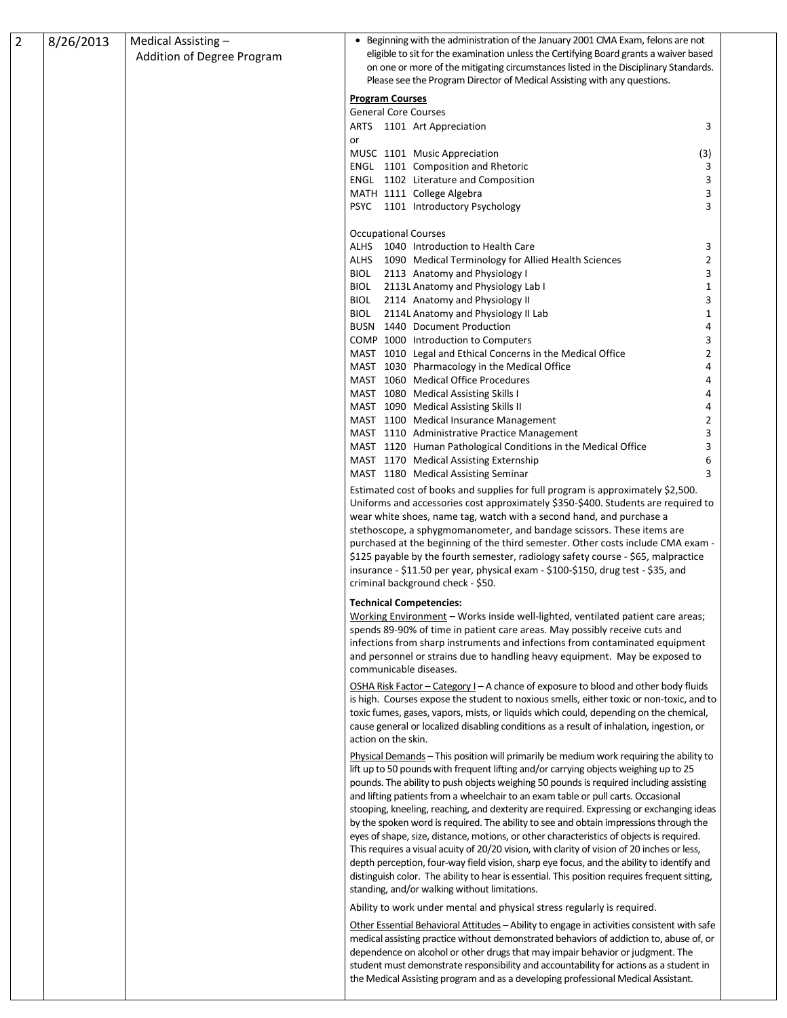| $\overline{2}$ | 8/26/2013 | Medical Assisting -<br>Addition of Degree Program | • Beginning with the administration of the January 2001 CMA Exam, felons are not<br>eligible to sit for the examination unless the Certifying Board grants a waiver based<br>on one or more of the mitigating circumstances listed in the Disciplinary Standards.                                                                                                                                                                                                                                                                                                                                                                                                                                                                                                                                                                                                                                                                                                                             |  |
|----------------|-----------|---------------------------------------------------|-----------------------------------------------------------------------------------------------------------------------------------------------------------------------------------------------------------------------------------------------------------------------------------------------------------------------------------------------------------------------------------------------------------------------------------------------------------------------------------------------------------------------------------------------------------------------------------------------------------------------------------------------------------------------------------------------------------------------------------------------------------------------------------------------------------------------------------------------------------------------------------------------------------------------------------------------------------------------------------------------|--|
|                |           |                                                   | Please see the Program Director of Medical Assisting with any questions.<br><b>Program Courses</b>                                                                                                                                                                                                                                                                                                                                                                                                                                                                                                                                                                                                                                                                                                                                                                                                                                                                                            |  |
|                |           |                                                   | <b>General Core Courses</b>                                                                                                                                                                                                                                                                                                                                                                                                                                                                                                                                                                                                                                                                                                                                                                                                                                                                                                                                                                   |  |
|                |           |                                                   | ARTS 1101 Art Appreciation<br>3<br>or                                                                                                                                                                                                                                                                                                                                                                                                                                                                                                                                                                                                                                                                                                                                                                                                                                                                                                                                                         |  |
|                |           |                                                   | MUSC 1101 Music Appreciation<br>(3)<br>ENGL 1101 Composition and Rhetoric<br>3                                                                                                                                                                                                                                                                                                                                                                                                                                                                                                                                                                                                                                                                                                                                                                                                                                                                                                                |  |
|                |           |                                                   | ENGL 1102 Literature and Composition<br>3                                                                                                                                                                                                                                                                                                                                                                                                                                                                                                                                                                                                                                                                                                                                                                                                                                                                                                                                                     |  |
|                |           |                                                   | MATH 1111 College Algebra<br>3                                                                                                                                                                                                                                                                                                                                                                                                                                                                                                                                                                                                                                                                                                                                                                                                                                                                                                                                                                |  |
|                |           |                                                   | 3<br>PSYC 1101 Introductory Psychology                                                                                                                                                                                                                                                                                                                                                                                                                                                                                                                                                                                                                                                                                                                                                                                                                                                                                                                                                        |  |
|                |           |                                                   | <b>Occupational Courses</b><br>ALHS 1040 Introduction to Health Care<br>3                                                                                                                                                                                                                                                                                                                                                                                                                                                                                                                                                                                                                                                                                                                                                                                                                                                                                                                     |  |
|                |           |                                                   | $\overline{2}$<br>ALHS 1090 Medical Terminology for Allied Health Sciences                                                                                                                                                                                                                                                                                                                                                                                                                                                                                                                                                                                                                                                                                                                                                                                                                                                                                                                    |  |
|                |           |                                                   | 3<br>BIOL 2113 Anatomy and Physiology I                                                                                                                                                                                                                                                                                                                                                                                                                                                                                                                                                                                                                                                                                                                                                                                                                                                                                                                                                       |  |
|                |           |                                                   | BIOL 2113L Anatomy and Physiology Lab I<br>1                                                                                                                                                                                                                                                                                                                                                                                                                                                                                                                                                                                                                                                                                                                                                                                                                                                                                                                                                  |  |
|                |           |                                                   | BIOL 2114 Anatomy and Physiology II<br>3                                                                                                                                                                                                                                                                                                                                                                                                                                                                                                                                                                                                                                                                                                                                                                                                                                                                                                                                                      |  |
|                |           |                                                   | BIOL 2114L Anatomy and Physiology II Lab<br>1                                                                                                                                                                                                                                                                                                                                                                                                                                                                                                                                                                                                                                                                                                                                                                                                                                                                                                                                                 |  |
|                |           |                                                   | BUSN 1440 Document Production<br>4<br>COMP 1000 Introduction to Computers<br>3                                                                                                                                                                                                                                                                                                                                                                                                                                                                                                                                                                                                                                                                                                                                                                                                                                                                                                                |  |
|                |           |                                                   | MAST 1010 Legal and Ethical Concerns in the Medical Office<br>2                                                                                                                                                                                                                                                                                                                                                                                                                                                                                                                                                                                                                                                                                                                                                                                                                                                                                                                               |  |
|                |           |                                                   | MAST 1030 Pharmacology in the Medical Office                                                                                                                                                                                                                                                                                                                                                                                                                                                                                                                                                                                                                                                                                                                                                                                                                                                                                                                                                  |  |
|                |           |                                                   | MAST 1060 Medical Office Procedures                                                                                                                                                                                                                                                                                                                                                                                                                                                                                                                                                                                                                                                                                                                                                                                                                                                                                                                                                           |  |
|                |           |                                                   | MAST 1080 Medical Assisting Skills I                                                                                                                                                                                                                                                                                                                                                                                                                                                                                                                                                                                                                                                                                                                                                                                                                                                                                                                                                          |  |
|                |           |                                                   | MAST 1090 Medical Assisting Skills II<br>4                                                                                                                                                                                                                                                                                                                                                                                                                                                                                                                                                                                                                                                                                                                                                                                                                                                                                                                                                    |  |
|                |           |                                                   | MAST 1100 Medical Insurance Management<br>2<br>3<br>MAST 1110 Administrative Practice Management                                                                                                                                                                                                                                                                                                                                                                                                                                                                                                                                                                                                                                                                                                                                                                                                                                                                                              |  |
|                |           |                                                   | MAST 1120 Human Pathological Conditions in the Medical Office<br>3                                                                                                                                                                                                                                                                                                                                                                                                                                                                                                                                                                                                                                                                                                                                                                                                                                                                                                                            |  |
|                |           |                                                   | MAST 1170 Medical Assisting Externship<br>6                                                                                                                                                                                                                                                                                                                                                                                                                                                                                                                                                                                                                                                                                                                                                                                                                                                                                                                                                   |  |
|                |           |                                                   | MAST 1180 Medical Assisting Seminar<br>3                                                                                                                                                                                                                                                                                                                                                                                                                                                                                                                                                                                                                                                                                                                                                                                                                                                                                                                                                      |  |
|                |           |                                                   | Estimated cost of books and supplies for full program is approximately \$2,500.<br>Uniforms and accessories cost approximately \$350-\$400. Students are required to<br>wear white shoes, name tag, watch with a second hand, and purchase a<br>stethoscope, a sphygmomanometer, and bandage scissors. These items are<br>purchased at the beginning of the third semester. Other costs include CMA exam -<br>\$125 payable by the fourth semester, radiology safety course - \$65, malpractice<br>insurance - \$11.50 per year, physical exam - \$100-\$150, drug test - \$35, and<br>criminal background check - \$50.                                                                                                                                                                                                                                                                                                                                                                      |  |
|                |           |                                                   | <b>Technical Competencies:</b>                                                                                                                                                                                                                                                                                                                                                                                                                                                                                                                                                                                                                                                                                                                                                                                                                                                                                                                                                                |  |
|                |           |                                                   | Working Environment - Works inside well-lighted, ventilated patient care areas;<br>spends 89-90% of time in patient care areas. May possibly receive cuts and<br>infections from sharp instruments and infections from contaminated equipment<br>and personnel or strains due to handling heavy equipment. May be exposed to<br>communicable diseases.                                                                                                                                                                                                                                                                                                                                                                                                                                                                                                                                                                                                                                        |  |
|                |           |                                                   | OSHA Risk Factor - Category I - A chance of exposure to blood and other body fluids<br>is high. Courses expose the student to noxious smells, either toxic or non-toxic, and to<br>toxic fumes, gases, vapors, mists, or liquids which could, depending on the chemical,<br>cause general or localized disabling conditions as a result of inhalation, ingestion, or<br>action on the skin.                                                                                                                                                                                                                                                                                                                                                                                                                                                                                                                                                                                                   |  |
|                |           |                                                   | Physical Demands - This position will primarily be medium work requiring the ability to<br>lift up to 50 pounds with frequent lifting and/or carrying objects weighing up to 25<br>pounds. The ability to push objects weighing 50 pounds is required including assisting<br>and lifting patients from a wheelchair to an exam table or pull carts. Occasional<br>stooping, kneeling, reaching, and dexterity are required. Expressing or exchanging ideas<br>by the spoken word is required. The ability to see and obtain impressions through the<br>eyes of shape, size, distance, motions, or other characteristics of objects is required.<br>This requires a visual acuity of 20/20 vision, with clarity of vision of 20 inches or less,<br>depth perception, four-way field vision, sharp eye focus, and the ability to identify and<br>distinguish color. The ability to hear is essential. This position requires frequent sitting,<br>standing, and/or walking without limitations. |  |
|                |           |                                                   | Ability to work under mental and physical stress regularly is required.<br>Other Essential Behavioral Attitudes - Ability to engage in activities consistent with safe<br>medical assisting practice without demonstrated behaviors of addiction to, abuse of, or<br>dependence on alcohol or other drugs that may impair behavior or judgment. The<br>student must demonstrate responsibility and accountability for actions as a student in<br>the Medical Assisting program and as a developing professional Medical Assistant.                                                                                                                                                                                                                                                                                                                                                                                                                                                            |  |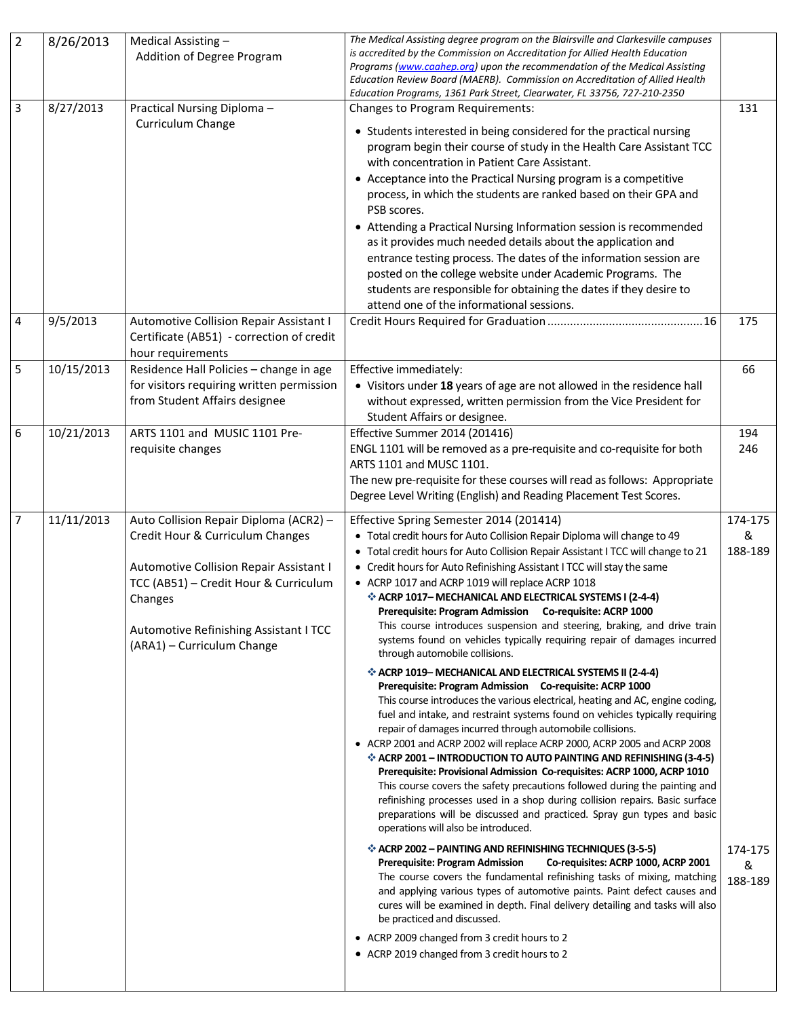| $\overline{2}$ | 8/26/2013  | Medical Assisting -<br>Addition of Degree Program                                                                                                                                                                                                 | The Medical Assisting degree program on the Blairsville and Clarkesville campuses<br>is accredited by the Commission on Accreditation for Allied Health Education<br>Programs (www.caahep.org) upon the recommendation of the Medical Assisting<br>Education Review Board (MAERB). Commission on Accreditation of Allied Health<br>Education Programs, 1361 Park Street, Clearwater, FL 33756, 727-210-2350                                                                                                                                                                                                                                                                                                                                                                                                                                                                                                                                                                                                                                                                                                                                                                                                                                                                     |                                                    |
|----------------|------------|---------------------------------------------------------------------------------------------------------------------------------------------------------------------------------------------------------------------------------------------------|---------------------------------------------------------------------------------------------------------------------------------------------------------------------------------------------------------------------------------------------------------------------------------------------------------------------------------------------------------------------------------------------------------------------------------------------------------------------------------------------------------------------------------------------------------------------------------------------------------------------------------------------------------------------------------------------------------------------------------------------------------------------------------------------------------------------------------------------------------------------------------------------------------------------------------------------------------------------------------------------------------------------------------------------------------------------------------------------------------------------------------------------------------------------------------------------------------------------------------------------------------------------------------|----------------------------------------------------|
| 3              | 8/27/2013  | Practical Nursing Diploma -<br>Curriculum Change                                                                                                                                                                                                  | <b>Changes to Program Requirements:</b><br>• Students interested in being considered for the practical nursing<br>program begin their course of study in the Health Care Assistant TCC<br>with concentration in Patient Care Assistant.<br>• Acceptance into the Practical Nursing program is a competitive<br>process, in which the students are ranked based on their GPA and<br>PSB scores.<br>• Attending a Practical Nursing Information session is recommended<br>as it provides much needed details about the application and<br>entrance testing process. The dates of the information session are<br>posted on the college website under Academic Programs. The<br>students are responsible for obtaining the dates if they desire to<br>attend one of the informational sessions.                                                                                                                                                                                                                                                                                                                                                                                                                                                                                     | 131                                                |
| 4              | 9/5/2013   | Automotive Collision Repair Assistant I<br>Certificate (AB51) - correction of credit<br>hour requirements                                                                                                                                         |                                                                                                                                                                                                                                                                                                                                                                                                                                                                                                                                                                                                                                                                                                                                                                                                                                                                                                                                                                                                                                                                                                                                                                                                                                                                                 | 175                                                |
| 5              | 10/15/2013 | Residence Hall Policies - change in age<br>for visitors requiring written permission<br>from Student Affairs designee                                                                                                                             | Effective immediately:<br>• Visitors under 18 years of age are not allowed in the residence hall<br>without expressed, written permission from the Vice President for<br>Student Affairs or designee.                                                                                                                                                                                                                                                                                                                                                                                                                                                                                                                                                                                                                                                                                                                                                                                                                                                                                                                                                                                                                                                                           | 66                                                 |
| 6              | 10/21/2013 | ARTS 1101 and MUSIC 1101 Pre-<br>requisite changes                                                                                                                                                                                                | Effective Summer 2014 (201416)<br>ENGL 1101 will be removed as a pre-requisite and co-requisite for both<br>ARTS 1101 and MUSC 1101.<br>The new pre-requisite for these courses will read as follows: Appropriate<br>Degree Level Writing (English) and Reading Placement Test Scores.                                                                                                                                                                                                                                                                                                                                                                                                                                                                                                                                                                                                                                                                                                                                                                                                                                                                                                                                                                                          | 194<br>246                                         |
| $\overline{7}$ | 11/11/2013 | Auto Collision Repair Diploma (ACR2) -<br>Credit Hour & Curriculum Changes<br>Automotive Collision Repair Assistant I<br>TCC (AB51) - Credit Hour & Curriculum<br>Changes<br>Automotive Refinishing Assistant I TCC<br>(ARA1) - Curriculum Change | Effective Spring Semester 2014 (201414)<br>• Total credit hours for Auto Collision Repair Diploma will change to 49<br>• Total credit hours for Auto Collision Repair Assistant I TCC will change to 21<br>• Credit hours for Auto Refinishing Assistant I TCC will stay the same<br>• ACRP 1017 and ACRP 1019 will replace ACRP 1018<br>ELECTRICAL SYSTEMS I (2-4-4)<br>12-4-4)<br>12-4-4)<br>12-4-4)<br>12-4-4)<br>12-4-4)<br>1<br>Prerequisite: Program Admission Co-requisite: ACRP 1000<br>This course introduces suspension and steering, braking, and drive train<br>systems found on vehicles typically requiring repair of damages incurred<br>through automobile collisions.<br>❖ ACRP 1019- MECHANICAL AND ELECTRICAL SYSTEMS II (2-4-4)<br>Prerequisite: Program Admission Co-requisite: ACRP 1000<br>This course introduces the various electrical, heating and AC, engine coding,<br>fuel and intake, and restraint systems found on vehicles typically requiring<br>repair of damages incurred through automobile collisions.<br>• ACRP 2001 and ACRP 2002 will replace ACRP 2000, ACRP 2005 and ACRP 2008<br>❖ ACRP 2001 - INTRODUCTION TO AUTO PAINTING AND REFINISHING (3-4-5)<br>Prerequisite: Provisional Admission Co-requisites: ACRP 1000, ACRP 1010<br> | 174-175<br>&<br>188-189<br>174-175<br>&<br>188-189 |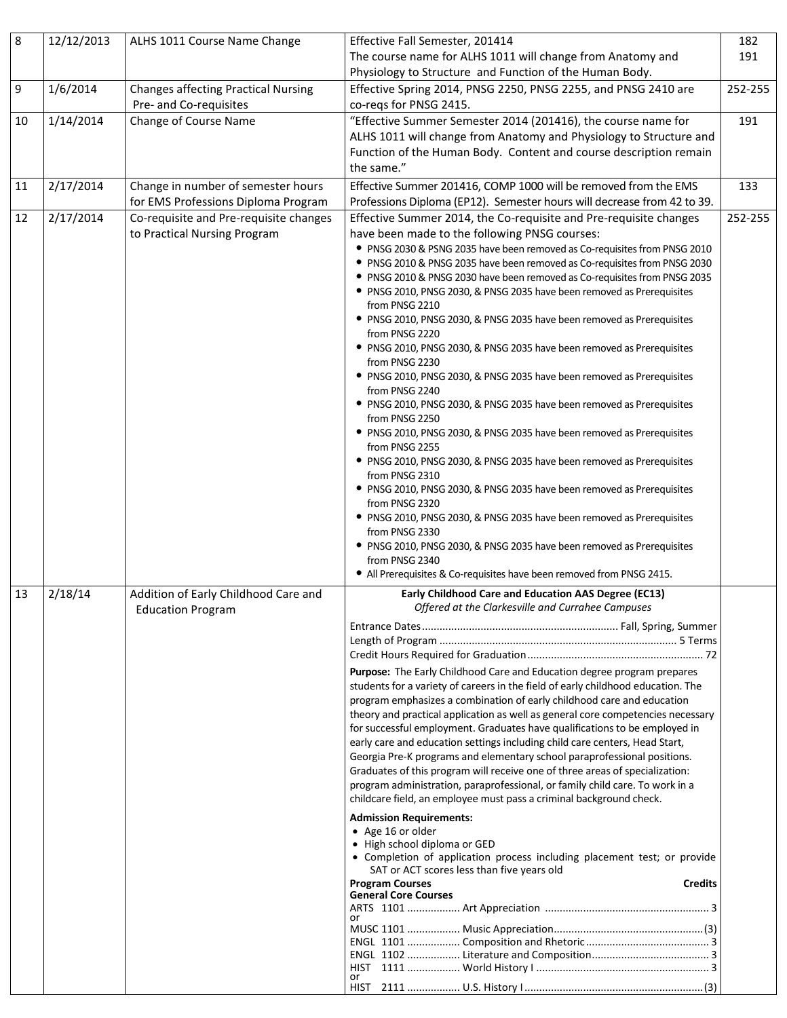| $\,8\,$ | 12/12/2013 | ALHS 1011 Course Name Change               | Effective Fall Semester, 201414                                                                                                                            | 182     |
|---------|------------|--------------------------------------------|------------------------------------------------------------------------------------------------------------------------------------------------------------|---------|
|         |            |                                            | The course name for ALHS 1011 will change from Anatomy and                                                                                                 | 191     |
|         |            |                                            | Physiology to Structure and Function of the Human Body.                                                                                                    |         |
| 9       | 1/6/2014   | <b>Changes affecting Practical Nursing</b> | Effective Spring 2014, PNSG 2250, PNSG 2255, and PNSG 2410 are                                                                                             | 252-255 |
|         |            | Pre- and Co-requisites                     | co-regs for PNSG 2415.                                                                                                                                     |         |
| 10      | 1/14/2014  | Change of Course Name                      | "Effective Summer Semester 2014 (201416), the course name for                                                                                              | 191     |
|         |            |                                            | ALHS 1011 will change from Anatomy and Physiology to Structure and                                                                                         |         |
|         |            |                                            | Function of the Human Body. Content and course description remain                                                                                          |         |
|         |            |                                            | the same."                                                                                                                                                 |         |
| 11      | 2/17/2014  | Change in number of semester hours         | Effective Summer 201416, COMP 1000 will be removed from the EMS                                                                                            | 133     |
|         |            | for EMS Professions Diploma Program        | Professions Diploma (EP12). Semester hours will decrease from 42 to 39.                                                                                    |         |
| 12      | 2/17/2014  | Co-requisite and Pre-requisite changes     | Effective Summer 2014, the Co-requisite and Pre-requisite changes                                                                                          | 252-255 |
|         |            | to Practical Nursing Program               | have been made to the following PNSG courses:                                                                                                              |         |
|         |            |                                            | • PNSG 2030 & PSNG 2035 have been removed as Co-requisites from PNSG 2010                                                                                  |         |
|         |            |                                            | • PNSG 2010 & PNSG 2035 have been removed as Co-requisites from PNSG 2030                                                                                  |         |
|         |            |                                            | • PNSG 2010 & PNSG 2030 have been removed as Co-requisites from PNSG 2035                                                                                  |         |
|         |            |                                            | • PNSG 2010, PNSG 2030, & PNSG 2035 have been removed as Prerequisites                                                                                     |         |
|         |            |                                            | from PNSG 2210                                                                                                                                             |         |
|         |            |                                            | • PNSG 2010, PNSG 2030, & PNSG 2035 have been removed as Prerequisites<br>from PNSG 2220                                                                   |         |
|         |            |                                            | • PNSG 2010, PNSG 2030, & PNSG 2035 have been removed as Prerequisites                                                                                     |         |
|         |            |                                            | from PNSG 2230                                                                                                                                             |         |
|         |            |                                            | • PNSG 2010, PNSG 2030, & PNSG 2035 have been removed as Prerequisites                                                                                     |         |
|         |            |                                            | from PNSG 2240                                                                                                                                             |         |
|         |            |                                            | • PNSG 2010, PNSG 2030, & PNSG 2035 have been removed as Prerequisites                                                                                     |         |
|         |            |                                            | from PNSG 2250<br>• PNSG 2010, PNSG 2030, & PNSG 2035 have been removed as Prerequisites                                                                   |         |
|         |            |                                            | from PNSG 2255                                                                                                                                             |         |
|         |            |                                            | • PNSG 2010, PNSG 2030, & PNSG 2035 have been removed as Prerequisites                                                                                     |         |
|         |            |                                            | from PNSG 2310                                                                                                                                             |         |
|         |            |                                            | • PNSG 2010, PNSG 2030, & PNSG 2035 have been removed as Prerequisites                                                                                     |         |
|         |            |                                            | from PNSG 2320                                                                                                                                             |         |
|         |            |                                            | • PNSG 2010, PNSG 2030, & PNSG 2035 have been removed as Prerequisites<br>from PNSG 2330                                                                   |         |
|         |            |                                            | • PNSG 2010, PNSG 2030, & PNSG 2035 have been removed as Prerequisites                                                                                     |         |
|         |            |                                            | from PNSG 2340                                                                                                                                             |         |
|         |            |                                            | • All Prerequisites & Co-requisites have been removed from PNSG 2415.                                                                                      |         |
| 13      | 2/18/14    | Addition of Early Childhood Care and       | Early Childhood Care and Education AAS Degree (EC13)                                                                                                       |         |
|         |            | <b>Education Program</b>                   | Offered at the Clarkesville and Currahee Campuses                                                                                                          |         |
|         |            |                                            |                                                                                                                                                            |         |
|         |            |                                            |                                                                                                                                                            |         |
|         |            |                                            |                                                                                                                                                            |         |
|         |            |                                            | Purpose: The Early Childhood Care and Education degree program prepares                                                                                    |         |
|         |            |                                            | students for a variety of careers in the field of early childhood education. The<br>program emphasizes a combination of early childhood care and education |         |
|         |            |                                            | theory and practical application as well as general core competencies necessary                                                                            |         |
|         |            |                                            | for successful employment. Graduates have qualifications to be employed in                                                                                 |         |
|         |            |                                            | early care and education settings including child care centers, Head Start,                                                                                |         |
|         |            |                                            | Georgia Pre-K programs and elementary school paraprofessional positions.                                                                                   |         |
|         |            |                                            | Graduates of this program will receive one of three areas of specialization:                                                                               |         |
|         |            |                                            | program administration, paraprofessional, or family child care. To work in a                                                                               |         |
|         |            |                                            | childcare field, an employee must pass a criminal background check.                                                                                        |         |
|         |            |                                            | <b>Admission Requirements:</b><br>• Age 16 or older                                                                                                        |         |
|         |            |                                            | • High school diploma or GED                                                                                                                               |         |
|         |            |                                            | • Completion of application process including placement test; or provide                                                                                   |         |
|         |            |                                            | SAT or ACT scores less than five years old<br><b>Program Courses</b><br><b>Credits</b>                                                                     |         |
|         |            |                                            | <b>General Core Courses</b>                                                                                                                                |         |
|         |            |                                            |                                                                                                                                                            |         |
|         |            |                                            | or                                                                                                                                                         |         |
|         |            |                                            |                                                                                                                                                            |         |
|         |            |                                            |                                                                                                                                                            |         |
|         |            |                                            | or                                                                                                                                                         |         |
|         |            |                                            |                                                                                                                                                            |         |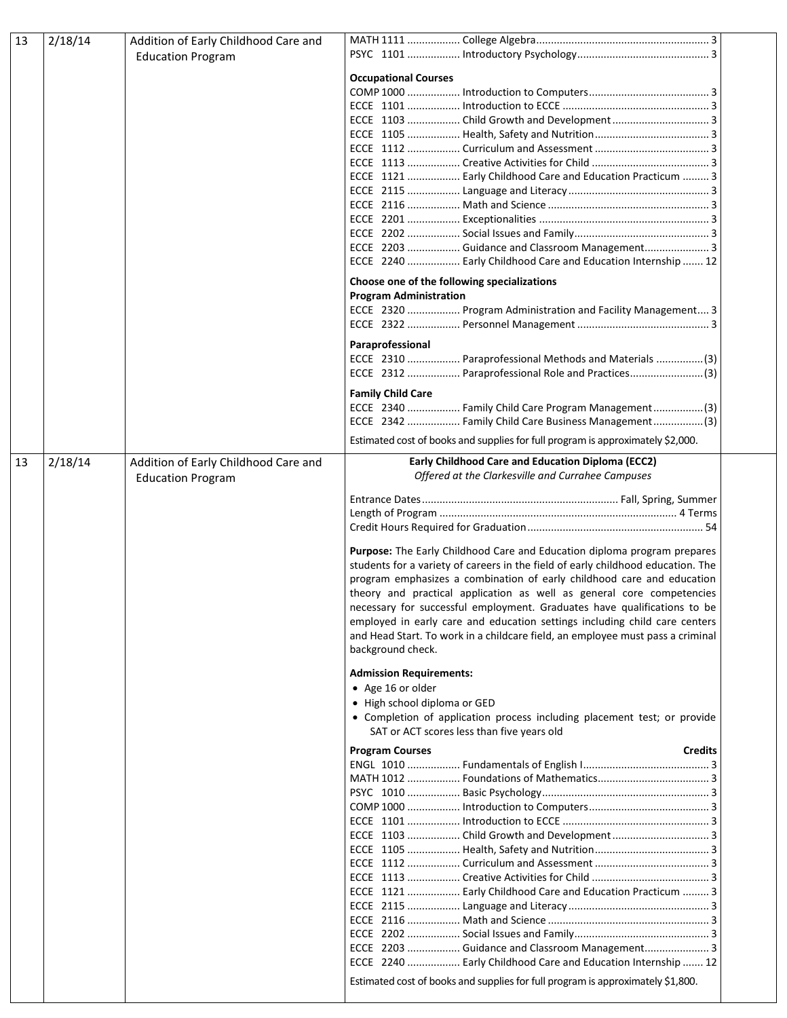| 13 | 2/18/14 | Addition of Early Childhood Care and |                                                                                                                                                            |
|----|---------|--------------------------------------|------------------------------------------------------------------------------------------------------------------------------------------------------------|
|    |         | <b>Education Program</b>             |                                                                                                                                                            |
|    |         |                                      | <b>Occupational Courses</b>                                                                                                                                |
|    |         |                                      |                                                                                                                                                            |
|    |         |                                      |                                                                                                                                                            |
|    |         |                                      |                                                                                                                                                            |
|    |         |                                      |                                                                                                                                                            |
|    |         |                                      |                                                                                                                                                            |
|    |         |                                      |                                                                                                                                                            |
|    |         |                                      | ECCE 1121  Early Childhood Care and Education Practicum  3                                                                                                 |
|    |         |                                      |                                                                                                                                                            |
|    |         |                                      |                                                                                                                                                            |
|    |         |                                      |                                                                                                                                                            |
|    |         |                                      | ECCE 2203  Guidance and Classroom Management 3                                                                                                             |
|    |         |                                      | ECCE 2240  Early Childhood Care and Education Internship  12                                                                                               |
|    |         |                                      |                                                                                                                                                            |
|    |         |                                      | Choose one of the following specializations<br><b>Program Administration</b>                                                                               |
|    |         |                                      | ECCE 2320  Program Administration and Facility Management 3                                                                                                |
|    |         |                                      |                                                                                                                                                            |
|    |         |                                      |                                                                                                                                                            |
|    |         |                                      | Paraprofessional<br>ECCE 2310  Paraprofessional Methods and Materials (3)                                                                                  |
|    |         |                                      | ECCE 2312  Paraprofessional Role and Practices(3)                                                                                                          |
|    |         |                                      | <b>Family Child Care</b>                                                                                                                                   |
|    |         |                                      | ECCE 2340  Family Child Care Program Management (3)                                                                                                        |
|    |         |                                      | ECCE 2342  Family Child Care Business Management (3)                                                                                                       |
|    |         |                                      | Estimated cost of books and supplies for full program is approximately \$2,000.                                                                            |
| 13 | 2/18/14 | Addition of Early Childhood Care and | Early Childhood Care and Education Diploma (ECC2)                                                                                                          |
|    |         | <b>Education Program</b>             | Offered at the Clarkesville and Currahee Campuses                                                                                                          |
|    |         |                                      |                                                                                                                                                            |
|    |         |                                      |                                                                                                                                                            |
|    |         |                                      |                                                                                                                                                            |
|    |         |                                      |                                                                                                                                                            |
|    |         |                                      | Purpose: The Early Childhood Care and Education diploma program prepares                                                                                   |
|    |         |                                      | students for a variety of careers in the field of early childhood education. The<br>program emphasizes a combination of early childhood care and education |
|    |         |                                      | theory and practical application as well as general core competencies                                                                                      |
|    |         |                                      | necessary for successful employment. Graduates have qualifications to be                                                                                   |
|    |         |                                      | employed in early care and education settings including child care centers                                                                                 |
|    |         |                                      | and Head Start. To work in a childcare field, an employee must pass a criminal                                                                             |
|    |         |                                      | background check.                                                                                                                                          |
|    |         |                                      | <b>Admission Requirements:</b>                                                                                                                             |
|    |         |                                      | • Age 16 or older                                                                                                                                          |
|    |         |                                      | • High school diploma or GED                                                                                                                               |
|    |         |                                      | • Completion of application process including placement test; or provide                                                                                   |
|    |         |                                      | SAT or ACT scores less than five years old                                                                                                                 |
|    |         |                                      | <b>Program Courses</b><br><b>Credits</b>                                                                                                                   |
|    |         |                                      |                                                                                                                                                            |
|    |         |                                      |                                                                                                                                                            |
|    |         |                                      |                                                                                                                                                            |
|    |         |                                      |                                                                                                                                                            |
|    |         |                                      |                                                                                                                                                            |
|    |         |                                      |                                                                                                                                                            |
|    |         |                                      |                                                                                                                                                            |
|    |         |                                      |                                                                                                                                                            |
|    |         |                                      | ECCE 1121  Early Childhood Care and Education Practicum  3                                                                                                 |
|    |         |                                      |                                                                                                                                                            |
|    |         |                                      |                                                                                                                                                            |
|    |         |                                      |                                                                                                                                                            |
|    |         |                                      | ECCE 2203  Guidance and Classroom Management 3                                                                                                             |
|    |         |                                      | ECCE 2240  Early Childhood Care and Education Internship  12                                                                                               |
|    |         |                                      | Estimated cost of books and supplies for full program is approximately \$1,800.                                                                            |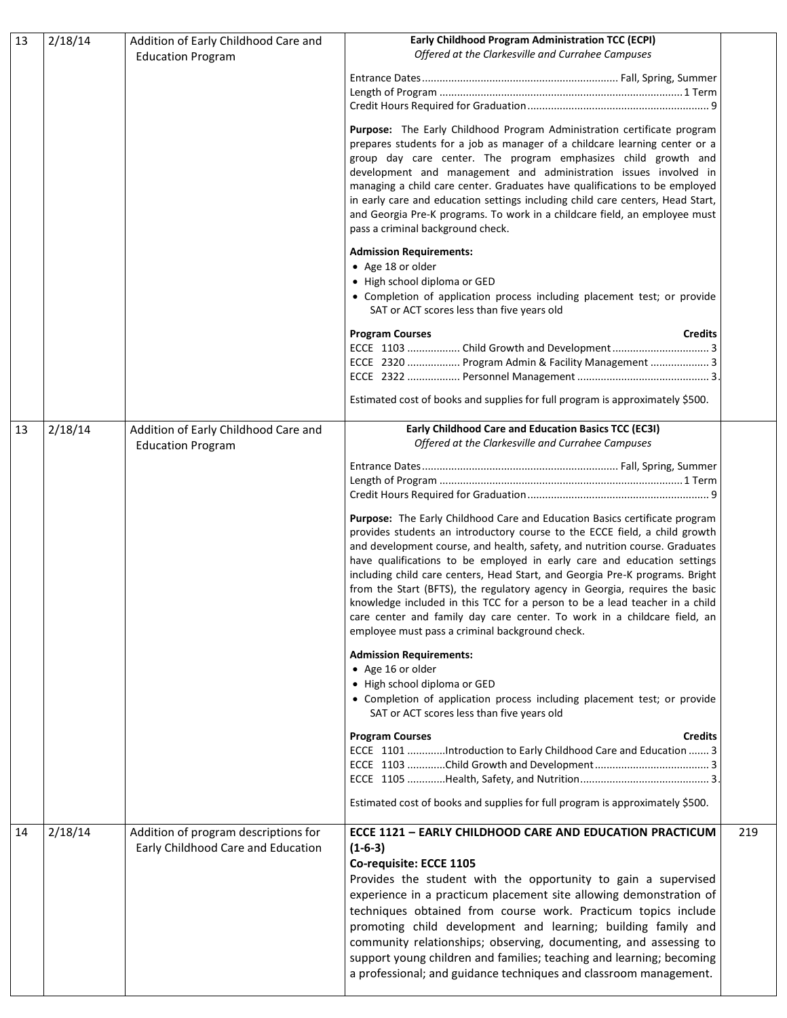| 13 | 2/18/14 | Addition of Early Childhood Care and<br><b>Education Program</b> | Early Childhood Program Administration TCC (ECPI)<br>Offered at the Clarkesville and Currahee Campuses                                                       |     |
|----|---------|------------------------------------------------------------------|--------------------------------------------------------------------------------------------------------------------------------------------------------------|-----|
|    |         |                                                                  |                                                                                                                                                              |     |
|    |         |                                                                  |                                                                                                                                                              |     |
|    |         |                                                                  |                                                                                                                                                              |     |
|    |         |                                                                  | Purpose: The Early Childhood Program Administration certificate program                                                                                      |     |
|    |         |                                                                  | prepares students for a job as manager of a childcare learning center or a                                                                                   |     |
|    |         |                                                                  | group day care center. The program emphasizes child growth and                                                                                               |     |
|    |         |                                                                  | development and management and administration issues involved in                                                                                             |     |
|    |         |                                                                  | managing a child care center. Graduates have qualifications to be employed<br>in early care and education settings including child care centers, Head Start, |     |
|    |         |                                                                  | and Georgia Pre-K programs. To work in a childcare field, an employee must                                                                                   |     |
|    |         |                                                                  | pass a criminal background check.                                                                                                                            |     |
|    |         |                                                                  | <b>Admission Requirements:</b>                                                                                                                               |     |
|    |         |                                                                  | • Age 18 or older                                                                                                                                            |     |
|    |         |                                                                  | • High school diploma or GED                                                                                                                                 |     |
|    |         |                                                                  | • Completion of application process including placement test; or provide<br>SAT or ACT scores less than five years old                                       |     |
|    |         |                                                                  | <b>Program Courses</b><br><b>Credits</b>                                                                                                                     |     |
|    |         |                                                                  | ECCE 2320  Program Admin & Facility Management  3                                                                                                            |     |
|    |         |                                                                  |                                                                                                                                                              |     |
|    |         |                                                                  | Estimated cost of books and supplies for full program is approximately \$500.                                                                                |     |
| 13 | 2/18/14 | Addition of Early Childhood Care and<br><b>Education Program</b> | Early Childhood Care and Education Basics TCC (EC3I)<br>Offered at the Clarkesville and Currahee Campuses                                                    |     |
|    |         |                                                                  |                                                                                                                                                              |     |
|    |         |                                                                  |                                                                                                                                                              |     |
|    |         |                                                                  |                                                                                                                                                              |     |
|    |         |                                                                  | Purpose: The Early Childhood Care and Education Basics certificate program                                                                                   |     |
|    |         |                                                                  | provides students an introductory course to the ECCE field, a child growth                                                                                   |     |
|    |         |                                                                  | and development course, and health, safety, and nutrition course. Graduates                                                                                  |     |
|    |         |                                                                  | have qualifications to be employed in early care and education settings                                                                                      |     |
|    |         |                                                                  | including child care centers, Head Start, and Georgia Pre-K programs. Bright                                                                                 |     |
|    |         |                                                                  | from the Start (BFTS), the regulatory agency in Georgia, requires the basic<br>knowledge included in this TCC for a person to be a lead teacher in a child   |     |
|    |         |                                                                  | care center and family day care center. To work in a childcare field, an                                                                                     |     |
|    |         |                                                                  | employee must pass a criminal background check.                                                                                                              |     |
|    |         |                                                                  | <b>Admission Requirements:</b>                                                                                                                               |     |
|    |         |                                                                  | • Age 16 or older                                                                                                                                            |     |
|    |         |                                                                  | • High school diploma or GED<br>• Completion of application process including placement test; or provide                                                     |     |
|    |         |                                                                  | SAT or ACT scores less than five years old                                                                                                                   |     |
|    |         |                                                                  | <b>Program Courses</b><br><b>Credits</b>                                                                                                                     |     |
|    |         |                                                                  | ECCE 1101 Introduction to Early Childhood Care and Education  3                                                                                              |     |
|    |         |                                                                  |                                                                                                                                                              |     |
|    |         |                                                                  | Estimated cost of books and supplies for full program is approximately \$500.                                                                                |     |
| 14 | 2/18/14 | Addition of program descriptions for                             | ECCE 1121 - EARLY CHILDHOOD CARE AND EDUCATION PRACTICUM                                                                                                     | 219 |
|    |         | Early Childhood Care and Education                               | $(1-6-3)$                                                                                                                                                    |     |
|    |         |                                                                  | Co-requisite: ECCE 1105                                                                                                                                      |     |
|    |         |                                                                  | Provides the student with the opportunity to gain a supervised                                                                                               |     |
|    |         |                                                                  | experience in a practicum placement site allowing demonstration of                                                                                           |     |
|    |         |                                                                  | techniques obtained from course work. Practicum topics include                                                                                               |     |
|    |         |                                                                  | promoting child development and learning; building family and                                                                                                |     |
|    |         |                                                                  | community relationships; observing, documenting, and assessing to                                                                                            |     |
|    |         |                                                                  | support young children and families; teaching and learning; becoming                                                                                         |     |
|    |         |                                                                  | a professional; and guidance techniques and classroom management.                                                                                            |     |
|    |         |                                                                  |                                                                                                                                                              |     |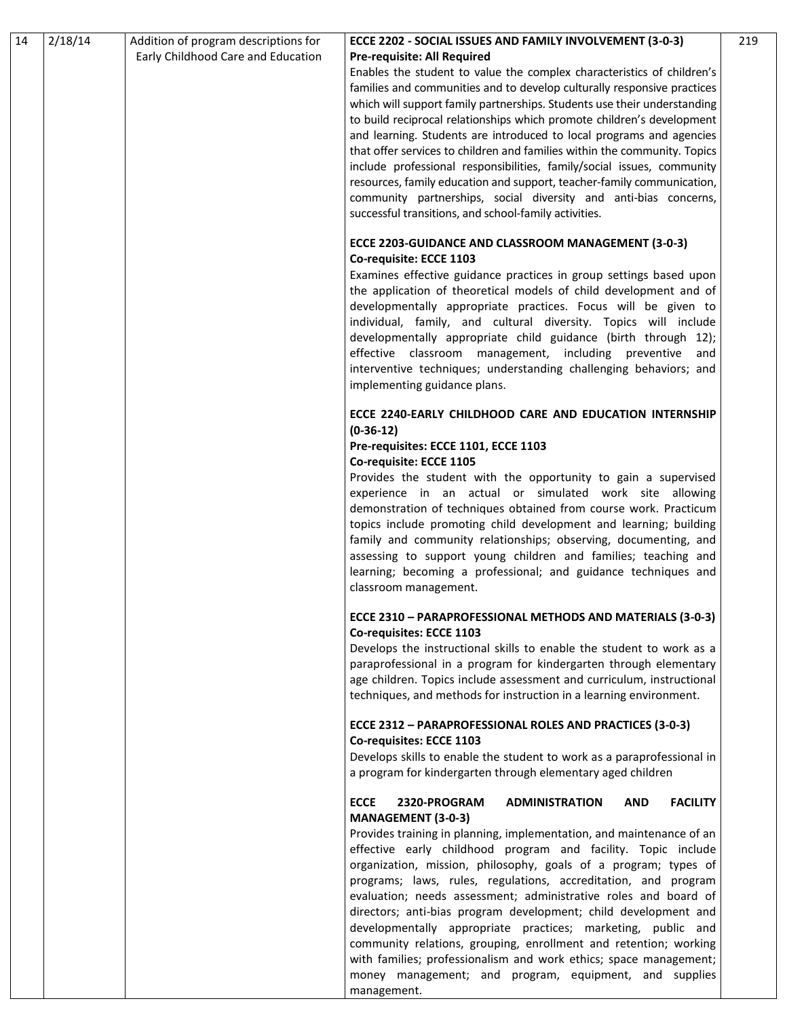| Early Childhood Care and Education<br><b>Pre-requisite: All Required</b><br>Enables the student to value the complex characteristics of children's<br>families and communities and to develop culturally responsive practices<br>which will support family partnerships. Students use their understanding<br>to build reciprocal relationships which promote children's development<br>and learning. Students are introduced to local programs and agencies<br>that offer services to children and families within the community. Topics<br>include professional responsibilities, family/social issues, community<br>resources, family education and support, teacher-family communication,<br>community partnerships, social diversity and anti-bias concerns,<br>successful transitions, and school-family activities.<br>ECCE 2203-GUIDANCE AND CLASSROOM MANAGEMENT (3-0-3)<br>Co-requisite: ECCE 1103<br>Examines effective guidance practices in group settings based upon<br>the application of theoretical models of child development and of<br>developmentally appropriate practices. Focus will be given to<br>individual, family, and cultural diversity. Topics will include<br>developmentally appropriate child guidance (birth through 12);<br>effective classroom management, including preventive<br>and<br>interventive techniques; understanding challenging behaviors; and<br>implementing guidance plans.<br>ECCE 2240-EARLY CHILDHOOD CARE AND EDUCATION INTERNSHIP<br>$(0-36-12)$<br>Pre-requisites: ECCE 1101, ECCE 1103<br>Co-requisite: ECCE 1105<br>Provides the student with the opportunity to gain a supervised<br>experience in an actual or simulated work site allowing<br>demonstration of techniques obtained from course work. Practicum<br>topics include promoting child development and learning; building<br>family and community relationships; observing, documenting, and<br>assessing to support young children and families; teaching and<br>learning; becoming a professional; and guidance techniques and<br>classroom management.<br>ECCE 2310 - PARAPROFESSIONAL METHODS AND MATERIALS (3-0-3)<br>Co-requisites: ECCE 1103<br>Develops the instructional skills to enable the student to work as a<br>paraprofessional in a program for kindergarten through elementary<br>age children. Topics include assessment and curriculum, instructional<br>techniques, and methods for instruction in a learning environment.<br>ECCE 2312 - PARAPROFESSIONAL ROLES AND PRACTICES (3-0-3)<br>Co-requisites: ECCE 1103<br>Develops skills to enable the student to work as a paraprofessional in<br>a program for kindergarten through elementary aged children<br><b>ECCE</b><br>2320-PROGRAM<br><b>ADMINISTRATION</b><br><b>FACILITY</b><br><b>AND</b><br><b>MANAGEMENT (3-0-3)</b><br>Provides training in planning, implementation, and maintenance of an<br>effective early childhood program and facility. Topic include<br>organization, mission, philosophy, goals of a program; types of<br>programs; laws, rules, regulations, accreditation, and program<br>evaluation; needs assessment; administrative roles and board of<br>directors; anti-bias program development; child development and<br>developmentally appropriate practices; marketing, public and<br>community relations, grouping, enrollment and retention; working<br>with families; professionalism and work ethics; space management; | 14 | 2/18/14 | Addition of program descriptions for | ECCE 2202 - SOCIAL ISSUES AND FAMILY INVOLVEMENT (3-0-3) | 219 |
|---------------------------------------------------------------------------------------------------------------------------------------------------------------------------------------------------------------------------------------------------------------------------------------------------------------------------------------------------------------------------------------------------------------------------------------------------------------------------------------------------------------------------------------------------------------------------------------------------------------------------------------------------------------------------------------------------------------------------------------------------------------------------------------------------------------------------------------------------------------------------------------------------------------------------------------------------------------------------------------------------------------------------------------------------------------------------------------------------------------------------------------------------------------------------------------------------------------------------------------------------------------------------------------------------------------------------------------------------------------------------------------------------------------------------------------------------------------------------------------------------------------------------------------------------------------------------------------------------------------------------------------------------------------------------------------------------------------------------------------------------------------------------------------------------------------------------------------------------------------------------------------------------------------------------------------------------------------------------------------------------------------------------------------------------------------------------------------------------------------------------------------------------------------------------------------------------------------------------------------------------------------------------------------------------------------------------------------------------------------------------------------------------------------------------------------------------------------------------------------------------------------------------------------------------------------------------------------------------------------------------------------------------------------------------------------------------------------------------------------------------------------------------------------------------------------------------------------------------------------------------------------------------------------------------------------------------------------------------------------------------------------------------------------------------------------------------------------------------------------------------------------------------------------------------------------------------------------------------------------------------------------------------------------------------------------------------------------------------------------------------------------------------------------------------------------------------------------|----|---------|--------------------------------------|----------------------------------------------------------|-----|
|                                                                                                                                                                                                                                                                                                                                                                                                                                                                                                                                                                                                                                                                                                                                                                                                                                                                                                                                                                                                                                                                                                                                                                                                                                                                                                                                                                                                                                                                                                                                                                                                                                                                                                                                                                                                                                                                                                                                                                                                                                                                                                                                                                                                                                                                                                                                                                                                                                                                                                                                                                                                                                                                                                                                                                                                                                                                                                                                                                                                                                                                                                                                                                                                                                                                                                                                                                                                                                                               |    |         |                                      |                                                          |     |
|                                                                                                                                                                                                                                                                                                                                                                                                                                                                                                                                                                                                                                                                                                                                                                                                                                                                                                                                                                                                                                                                                                                                                                                                                                                                                                                                                                                                                                                                                                                                                                                                                                                                                                                                                                                                                                                                                                                                                                                                                                                                                                                                                                                                                                                                                                                                                                                                                                                                                                                                                                                                                                                                                                                                                                                                                                                                                                                                                                                                                                                                                                                                                                                                                                                                                                                                                                                                                                                               |    |         |                                      |                                                          |     |
|                                                                                                                                                                                                                                                                                                                                                                                                                                                                                                                                                                                                                                                                                                                                                                                                                                                                                                                                                                                                                                                                                                                                                                                                                                                                                                                                                                                                                                                                                                                                                                                                                                                                                                                                                                                                                                                                                                                                                                                                                                                                                                                                                                                                                                                                                                                                                                                                                                                                                                                                                                                                                                                                                                                                                                                                                                                                                                                                                                                                                                                                                                                                                                                                                                                                                                                                                                                                                                                               |    |         |                                      |                                                          |     |
|                                                                                                                                                                                                                                                                                                                                                                                                                                                                                                                                                                                                                                                                                                                                                                                                                                                                                                                                                                                                                                                                                                                                                                                                                                                                                                                                                                                                                                                                                                                                                                                                                                                                                                                                                                                                                                                                                                                                                                                                                                                                                                                                                                                                                                                                                                                                                                                                                                                                                                                                                                                                                                                                                                                                                                                                                                                                                                                                                                                                                                                                                                                                                                                                                                                                                                                                                                                                                                                               |    |         |                                      |                                                          |     |
|                                                                                                                                                                                                                                                                                                                                                                                                                                                                                                                                                                                                                                                                                                                                                                                                                                                                                                                                                                                                                                                                                                                                                                                                                                                                                                                                                                                                                                                                                                                                                                                                                                                                                                                                                                                                                                                                                                                                                                                                                                                                                                                                                                                                                                                                                                                                                                                                                                                                                                                                                                                                                                                                                                                                                                                                                                                                                                                                                                                                                                                                                                                                                                                                                                                                                                                                                                                                                                                               |    |         |                                      |                                                          |     |
|                                                                                                                                                                                                                                                                                                                                                                                                                                                                                                                                                                                                                                                                                                                                                                                                                                                                                                                                                                                                                                                                                                                                                                                                                                                                                                                                                                                                                                                                                                                                                                                                                                                                                                                                                                                                                                                                                                                                                                                                                                                                                                                                                                                                                                                                                                                                                                                                                                                                                                                                                                                                                                                                                                                                                                                                                                                                                                                                                                                                                                                                                                                                                                                                                                                                                                                                                                                                                                                               |    |         |                                      |                                                          |     |
|                                                                                                                                                                                                                                                                                                                                                                                                                                                                                                                                                                                                                                                                                                                                                                                                                                                                                                                                                                                                                                                                                                                                                                                                                                                                                                                                                                                                                                                                                                                                                                                                                                                                                                                                                                                                                                                                                                                                                                                                                                                                                                                                                                                                                                                                                                                                                                                                                                                                                                                                                                                                                                                                                                                                                                                                                                                                                                                                                                                                                                                                                                                                                                                                                                                                                                                                                                                                                                                               |    |         |                                      |                                                          |     |
|                                                                                                                                                                                                                                                                                                                                                                                                                                                                                                                                                                                                                                                                                                                                                                                                                                                                                                                                                                                                                                                                                                                                                                                                                                                                                                                                                                                                                                                                                                                                                                                                                                                                                                                                                                                                                                                                                                                                                                                                                                                                                                                                                                                                                                                                                                                                                                                                                                                                                                                                                                                                                                                                                                                                                                                                                                                                                                                                                                                                                                                                                                                                                                                                                                                                                                                                                                                                                                                               |    |         |                                      |                                                          |     |
|                                                                                                                                                                                                                                                                                                                                                                                                                                                                                                                                                                                                                                                                                                                                                                                                                                                                                                                                                                                                                                                                                                                                                                                                                                                                                                                                                                                                                                                                                                                                                                                                                                                                                                                                                                                                                                                                                                                                                                                                                                                                                                                                                                                                                                                                                                                                                                                                                                                                                                                                                                                                                                                                                                                                                                                                                                                                                                                                                                                                                                                                                                                                                                                                                                                                                                                                                                                                                                                               |    |         |                                      |                                                          |     |
|                                                                                                                                                                                                                                                                                                                                                                                                                                                                                                                                                                                                                                                                                                                                                                                                                                                                                                                                                                                                                                                                                                                                                                                                                                                                                                                                                                                                                                                                                                                                                                                                                                                                                                                                                                                                                                                                                                                                                                                                                                                                                                                                                                                                                                                                                                                                                                                                                                                                                                                                                                                                                                                                                                                                                                                                                                                                                                                                                                                                                                                                                                                                                                                                                                                                                                                                                                                                                                                               |    |         |                                      |                                                          |     |
|                                                                                                                                                                                                                                                                                                                                                                                                                                                                                                                                                                                                                                                                                                                                                                                                                                                                                                                                                                                                                                                                                                                                                                                                                                                                                                                                                                                                                                                                                                                                                                                                                                                                                                                                                                                                                                                                                                                                                                                                                                                                                                                                                                                                                                                                                                                                                                                                                                                                                                                                                                                                                                                                                                                                                                                                                                                                                                                                                                                                                                                                                                                                                                                                                                                                                                                                                                                                                                                               |    |         |                                      |                                                          |     |
|                                                                                                                                                                                                                                                                                                                                                                                                                                                                                                                                                                                                                                                                                                                                                                                                                                                                                                                                                                                                                                                                                                                                                                                                                                                                                                                                                                                                                                                                                                                                                                                                                                                                                                                                                                                                                                                                                                                                                                                                                                                                                                                                                                                                                                                                                                                                                                                                                                                                                                                                                                                                                                                                                                                                                                                                                                                                                                                                                                                                                                                                                                                                                                                                                                                                                                                                                                                                                                                               |    |         |                                      |                                                          |     |
|                                                                                                                                                                                                                                                                                                                                                                                                                                                                                                                                                                                                                                                                                                                                                                                                                                                                                                                                                                                                                                                                                                                                                                                                                                                                                                                                                                                                                                                                                                                                                                                                                                                                                                                                                                                                                                                                                                                                                                                                                                                                                                                                                                                                                                                                                                                                                                                                                                                                                                                                                                                                                                                                                                                                                                                                                                                                                                                                                                                                                                                                                                                                                                                                                                                                                                                                                                                                                                                               |    |         |                                      |                                                          |     |
|                                                                                                                                                                                                                                                                                                                                                                                                                                                                                                                                                                                                                                                                                                                                                                                                                                                                                                                                                                                                                                                                                                                                                                                                                                                                                                                                                                                                                                                                                                                                                                                                                                                                                                                                                                                                                                                                                                                                                                                                                                                                                                                                                                                                                                                                                                                                                                                                                                                                                                                                                                                                                                                                                                                                                                                                                                                                                                                                                                                                                                                                                                                                                                                                                                                                                                                                                                                                                                                               |    |         |                                      |                                                          |     |
|                                                                                                                                                                                                                                                                                                                                                                                                                                                                                                                                                                                                                                                                                                                                                                                                                                                                                                                                                                                                                                                                                                                                                                                                                                                                                                                                                                                                                                                                                                                                                                                                                                                                                                                                                                                                                                                                                                                                                                                                                                                                                                                                                                                                                                                                                                                                                                                                                                                                                                                                                                                                                                                                                                                                                                                                                                                                                                                                                                                                                                                                                                                                                                                                                                                                                                                                                                                                                                                               |    |         |                                      |                                                          |     |
|                                                                                                                                                                                                                                                                                                                                                                                                                                                                                                                                                                                                                                                                                                                                                                                                                                                                                                                                                                                                                                                                                                                                                                                                                                                                                                                                                                                                                                                                                                                                                                                                                                                                                                                                                                                                                                                                                                                                                                                                                                                                                                                                                                                                                                                                                                                                                                                                                                                                                                                                                                                                                                                                                                                                                                                                                                                                                                                                                                                                                                                                                                                                                                                                                                                                                                                                                                                                                                                               |    |         |                                      |                                                          |     |
|                                                                                                                                                                                                                                                                                                                                                                                                                                                                                                                                                                                                                                                                                                                                                                                                                                                                                                                                                                                                                                                                                                                                                                                                                                                                                                                                                                                                                                                                                                                                                                                                                                                                                                                                                                                                                                                                                                                                                                                                                                                                                                                                                                                                                                                                                                                                                                                                                                                                                                                                                                                                                                                                                                                                                                                                                                                                                                                                                                                                                                                                                                                                                                                                                                                                                                                                                                                                                                                               |    |         |                                      |                                                          |     |
|                                                                                                                                                                                                                                                                                                                                                                                                                                                                                                                                                                                                                                                                                                                                                                                                                                                                                                                                                                                                                                                                                                                                                                                                                                                                                                                                                                                                                                                                                                                                                                                                                                                                                                                                                                                                                                                                                                                                                                                                                                                                                                                                                                                                                                                                                                                                                                                                                                                                                                                                                                                                                                                                                                                                                                                                                                                                                                                                                                                                                                                                                                                                                                                                                                                                                                                                                                                                                                                               |    |         |                                      |                                                          |     |
|                                                                                                                                                                                                                                                                                                                                                                                                                                                                                                                                                                                                                                                                                                                                                                                                                                                                                                                                                                                                                                                                                                                                                                                                                                                                                                                                                                                                                                                                                                                                                                                                                                                                                                                                                                                                                                                                                                                                                                                                                                                                                                                                                                                                                                                                                                                                                                                                                                                                                                                                                                                                                                                                                                                                                                                                                                                                                                                                                                                                                                                                                                                                                                                                                                                                                                                                                                                                                                                               |    |         |                                      |                                                          |     |
|                                                                                                                                                                                                                                                                                                                                                                                                                                                                                                                                                                                                                                                                                                                                                                                                                                                                                                                                                                                                                                                                                                                                                                                                                                                                                                                                                                                                                                                                                                                                                                                                                                                                                                                                                                                                                                                                                                                                                                                                                                                                                                                                                                                                                                                                                                                                                                                                                                                                                                                                                                                                                                                                                                                                                                                                                                                                                                                                                                                                                                                                                                                                                                                                                                                                                                                                                                                                                                                               |    |         |                                      |                                                          |     |
|                                                                                                                                                                                                                                                                                                                                                                                                                                                                                                                                                                                                                                                                                                                                                                                                                                                                                                                                                                                                                                                                                                                                                                                                                                                                                                                                                                                                                                                                                                                                                                                                                                                                                                                                                                                                                                                                                                                                                                                                                                                                                                                                                                                                                                                                                                                                                                                                                                                                                                                                                                                                                                                                                                                                                                                                                                                                                                                                                                                                                                                                                                                                                                                                                                                                                                                                                                                                                                                               |    |         |                                      |                                                          |     |
|                                                                                                                                                                                                                                                                                                                                                                                                                                                                                                                                                                                                                                                                                                                                                                                                                                                                                                                                                                                                                                                                                                                                                                                                                                                                                                                                                                                                                                                                                                                                                                                                                                                                                                                                                                                                                                                                                                                                                                                                                                                                                                                                                                                                                                                                                                                                                                                                                                                                                                                                                                                                                                                                                                                                                                                                                                                                                                                                                                                                                                                                                                                                                                                                                                                                                                                                                                                                                                                               |    |         |                                      |                                                          |     |
|                                                                                                                                                                                                                                                                                                                                                                                                                                                                                                                                                                                                                                                                                                                                                                                                                                                                                                                                                                                                                                                                                                                                                                                                                                                                                                                                                                                                                                                                                                                                                                                                                                                                                                                                                                                                                                                                                                                                                                                                                                                                                                                                                                                                                                                                                                                                                                                                                                                                                                                                                                                                                                                                                                                                                                                                                                                                                                                                                                                                                                                                                                                                                                                                                                                                                                                                                                                                                                                               |    |         |                                      |                                                          |     |
|                                                                                                                                                                                                                                                                                                                                                                                                                                                                                                                                                                                                                                                                                                                                                                                                                                                                                                                                                                                                                                                                                                                                                                                                                                                                                                                                                                                                                                                                                                                                                                                                                                                                                                                                                                                                                                                                                                                                                                                                                                                                                                                                                                                                                                                                                                                                                                                                                                                                                                                                                                                                                                                                                                                                                                                                                                                                                                                                                                                                                                                                                                                                                                                                                                                                                                                                                                                                                                                               |    |         |                                      |                                                          |     |
|                                                                                                                                                                                                                                                                                                                                                                                                                                                                                                                                                                                                                                                                                                                                                                                                                                                                                                                                                                                                                                                                                                                                                                                                                                                                                                                                                                                                                                                                                                                                                                                                                                                                                                                                                                                                                                                                                                                                                                                                                                                                                                                                                                                                                                                                                                                                                                                                                                                                                                                                                                                                                                                                                                                                                                                                                                                                                                                                                                                                                                                                                                                                                                                                                                                                                                                                                                                                                                                               |    |         |                                      |                                                          |     |
|                                                                                                                                                                                                                                                                                                                                                                                                                                                                                                                                                                                                                                                                                                                                                                                                                                                                                                                                                                                                                                                                                                                                                                                                                                                                                                                                                                                                                                                                                                                                                                                                                                                                                                                                                                                                                                                                                                                                                                                                                                                                                                                                                                                                                                                                                                                                                                                                                                                                                                                                                                                                                                                                                                                                                                                                                                                                                                                                                                                                                                                                                                                                                                                                                                                                                                                                                                                                                                                               |    |         |                                      |                                                          |     |
|                                                                                                                                                                                                                                                                                                                                                                                                                                                                                                                                                                                                                                                                                                                                                                                                                                                                                                                                                                                                                                                                                                                                                                                                                                                                                                                                                                                                                                                                                                                                                                                                                                                                                                                                                                                                                                                                                                                                                                                                                                                                                                                                                                                                                                                                                                                                                                                                                                                                                                                                                                                                                                                                                                                                                                                                                                                                                                                                                                                                                                                                                                                                                                                                                                                                                                                                                                                                                                                               |    |         |                                      |                                                          |     |
|                                                                                                                                                                                                                                                                                                                                                                                                                                                                                                                                                                                                                                                                                                                                                                                                                                                                                                                                                                                                                                                                                                                                                                                                                                                                                                                                                                                                                                                                                                                                                                                                                                                                                                                                                                                                                                                                                                                                                                                                                                                                                                                                                                                                                                                                                                                                                                                                                                                                                                                                                                                                                                                                                                                                                                                                                                                                                                                                                                                                                                                                                                                                                                                                                                                                                                                                                                                                                                                               |    |         |                                      |                                                          |     |
|                                                                                                                                                                                                                                                                                                                                                                                                                                                                                                                                                                                                                                                                                                                                                                                                                                                                                                                                                                                                                                                                                                                                                                                                                                                                                                                                                                                                                                                                                                                                                                                                                                                                                                                                                                                                                                                                                                                                                                                                                                                                                                                                                                                                                                                                                                                                                                                                                                                                                                                                                                                                                                                                                                                                                                                                                                                                                                                                                                                                                                                                                                                                                                                                                                                                                                                                                                                                                                                               |    |         |                                      |                                                          |     |
|                                                                                                                                                                                                                                                                                                                                                                                                                                                                                                                                                                                                                                                                                                                                                                                                                                                                                                                                                                                                                                                                                                                                                                                                                                                                                                                                                                                                                                                                                                                                                                                                                                                                                                                                                                                                                                                                                                                                                                                                                                                                                                                                                                                                                                                                                                                                                                                                                                                                                                                                                                                                                                                                                                                                                                                                                                                                                                                                                                                                                                                                                                                                                                                                                                                                                                                                                                                                                                                               |    |         |                                      |                                                          |     |
|                                                                                                                                                                                                                                                                                                                                                                                                                                                                                                                                                                                                                                                                                                                                                                                                                                                                                                                                                                                                                                                                                                                                                                                                                                                                                                                                                                                                                                                                                                                                                                                                                                                                                                                                                                                                                                                                                                                                                                                                                                                                                                                                                                                                                                                                                                                                                                                                                                                                                                                                                                                                                                                                                                                                                                                                                                                                                                                                                                                                                                                                                                                                                                                                                                                                                                                                                                                                                                                               |    |         |                                      |                                                          |     |
|                                                                                                                                                                                                                                                                                                                                                                                                                                                                                                                                                                                                                                                                                                                                                                                                                                                                                                                                                                                                                                                                                                                                                                                                                                                                                                                                                                                                                                                                                                                                                                                                                                                                                                                                                                                                                                                                                                                                                                                                                                                                                                                                                                                                                                                                                                                                                                                                                                                                                                                                                                                                                                                                                                                                                                                                                                                                                                                                                                                                                                                                                                                                                                                                                                                                                                                                                                                                                                                               |    |         |                                      |                                                          |     |
|                                                                                                                                                                                                                                                                                                                                                                                                                                                                                                                                                                                                                                                                                                                                                                                                                                                                                                                                                                                                                                                                                                                                                                                                                                                                                                                                                                                                                                                                                                                                                                                                                                                                                                                                                                                                                                                                                                                                                                                                                                                                                                                                                                                                                                                                                                                                                                                                                                                                                                                                                                                                                                                                                                                                                                                                                                                                                                                                                                                                                                                                                                                                                                                                                                                                                                                                                                                                                                                               |    |         |                                      |                                                          |     |
|                                                                                                                                                                                                                                                                                                                                                                                                                                                                                                                                                                                                                                                                                                                                                                                                                                                                                                                                                                                                                                                                                                                                                                                                                                                                                                                                                                                                                                                                                                                                                                                                                                                                                                                                                                                                                                                                                                                                                                                                                                                                                                                                                                                                                                                                                                                                                                                                                                                                                                                                                                                                                                                                                                                                                                                                                                                                                                                                                                                                                                                                                                                                                                                                                                                                                                                                                                                                                                                               |    |         |                                      |                                                          |     |
|                                                                                                                                                                                                                                                                                                                                                                                                                                                                                                                                                                                                                                                                                                                                                                                                                                                                                                                                                                                                                                                                                                                                                                                                                                                                                                                                                                                                                                                                                                                                                                                                                                                                                                                                                                                                                                                                                                                                                                                                                                                                                                                                                                                                                                                                                                                                                                                                                                                                                                                                                                                                                                                                                                                                                                                                                                                                                                                                                                                                                                                                                                                                                                                                                                                                                                                                                                                                                                                               |    |         |                                      |                                                          |     |
|                                                                                                                                                                                                                                                                                                                                                                                                                                                                                                                                                                                                                                                                                                                                                                                                                                                                                                                                                                                                                                                                                                                                                                                                                                                                                                                                                                                                                                                                                                                                                                                                                                                                                                                                                                                                                                                                                                                                                                                                                                                                                                                                                                                                                                                                                                                                                                                                                                                                                                                                                                                                                                                                                                                                                                                                                                                                                                                                                                                                                                                                                                                                                                                                                                                                                                                                                                                                                                                               |    |         |                                      |                                                          |     |
|                                                                                                                                                                                                                                                                                                                                                                                                                                                                                                                                                                                                                                                                                                                                                                                                                                                                                                                                                                                                                                                                                                                                                                                                                                                                                                                                                                                                                                                                                                                                                                                                                                                                                                                                                                                                                                                                                                                                                                                                                                                                                                                                                                                                                                                                                                                                                                                                                                                                                                                                                                                                                                                                                                                                                                                                                                                                                                                                                                                                                                                                                                                                                                                                                                                                                                                                                                                                                                                               |    |         |                                      |                                                          |     |
|                                                                                                                                                                                                                                                                                                                                                                                                                                                                                                                                                                                                                                                                                                                                                                                                                                                                                                                                                                                                                                                                                                                                                                                                                                                                                                                                                                                                                                                                                                                                                                                                                                                                                                                                                                                                                                                                                                                                                                                                                                                                                                                                                                                                                                                                                                                                                                                                                                                                                                                                                                                                                                                                                                                                                                                                                                                                                                                                                                                                                                                                                                                                                                                                                                                                                                                                                                                                                                                               |    |         |                                      |                                                          |     |
|                                                                                                                                                                                                                                                                                                                                                                                                                                                                                                                                                                                                                                                                                                                                                                                                                                                                                                                                                                                                                                                                                                                                                                                                                                                                                                                                                                                                                                                                                                                                                                                                                                                                                                                                                                                                                                                                                                                                                                                                                                                                                                                                                                                                                                                                                                                                                                                                                                                                                                                                                                                                                                                                                                                                                                                                                                                                                                                                                                                                                                                                                                                                                                                                                                                                                                                                                                                                                                                               |    |         |                                      |                                                          |     |
|                                                                                                                                                                                                                                                                                                                                                                                                                                                                                                                                                                                                                                                                                                                                                                                                                                                                                                                                                                                                                                                                                                                                                                                                                                                                                                                                                                                                                                                                                                                                                                                                                                                                                                                                                                                                                                                                                                                                                                                                                                                                                                                                                                                                                                                                                                                                                                                                                                                                                                                                                                                                                                                                                                                                                                                                                                                                                                                                                                                                                                                                                                                                                                                                                                                                                                                                                                                                                                                               |    |         |                                      |                                                          |     |
|                                                                                                                                                                                                                                                                                                                                                                                                                                                                                                                                                                                                                                                                                                                                                                                                                                                                                                                                                                                                                                                                                                                                                                                                                                                                                                                                                                                                                                                                                                                                                                                                                                                                                                                                                                                                                                                                                                                                                                                                                                                                                                                                                                                                                                                                                                                                                                                                                                                                                                                                                                                                                                                                                                                                                                                                                                                                                                                                                                                                                                                                                                                                                                                                                                                                                                                                                                                                                                                               |    |         |                                      |                                                          |     |
|                                                                                                                                                                                                                                                                                                                                                                                                                                                                                                                                                                                                                                                                                                                                                                                                                                                                                                                                                                                                                                                                                                                                                                                                                                                                                                                                                                                                                                                                                                                                                                                                                                                                                                                                                                                                                                                                                                                                                                                                                                                                                                                                                                                                                                                                                                                                                                                                                                                                                                                                                                                                                                                                                                                                                                                                                                                                                                                                                                                                                                                                                                                                                                                                                                                                                                                                                                                                                                                               |    |         |                                      |                                                          |     |
|                                                                                                                                                                                                                                                                                                                                                                                                                                                                                                                                                                                                                                                                                                                                                                                                                                                                                                                                                                                                                                                                                                                                                                                                                                                                                                                                                                                                                                                                                                                                                                                                                                                                                                                                                                                                                                                                                                                                                                                                                                                                                                                                                                                                                                                                                                                                                                                                                                                                                                                                                                                                                                                                                                                                                                                                                                                                                                                                                                                                                                                                                                                                                                                                                                                                                                                                                                                                                                                               |    |         |                                      |                                                          |     |
|                                                                                                                                                                                                                                                                                                                                                                                                                                                                                                                                                                                                                                                                                                                                                                                                                                                                                                                                                                                                                                                                                                                                                                                                                                                                                                                                                                                                                                                                                                                                                                                                                                                                                                                                                                                                                                                                                                                                                                                                                                                                                                                                                                                                                                                                                                                                                                                                                                                                                                                                                                                                                                                                                                                                                                                                                                                                                                                                                                                                                                                                                                                                                                                                                                                                                                                                                                                                                                                               |    |         |                                      |                                                          |     |
|                                                                                                                                                                                                                                                                                                                                                                                                                                                                                                                                                                                                                                                                                                                                                                                                                                                                                                                                                                                                                                                                                                                                                                                                                                                                                                                                                                                                                                                                                                                                                                                                                                                                                                                                                                                                                                                                                                                                                                                                                                                                                                                                                                                                                                                                                                                                                                                                                                                                                                                                                                                                                                                                                                                                                                                                                                                                                                                                                                                                                                                                                                                                                                                                                                                                                                                                                                                                                                                               |    |         |                                      |                                                          |     |
|                                                                                                                                                                                                                                                                                                                                                                                                                                                                                                                                                                                                                                                                                                                                                                                                                                                                                                                                                                                                                                                                                                                                                                                                                                                                                                                                                                                                                                                                                                                                                                                                                                                                                                                                                                                                                                                                                                                                                                                                                                                                                                                                                                                                                                                                                                                                                                                                                                                                                                                                                                                                                                                                                                                                                                                                                                                                                                                                                                                                                                                                                                                                                                                                                                                                                                                                                                                                                                                               |    |         |                                      |                                                          |     |
|                                                                                                                                                                                                                                                                                                                                                                                                                                                                                                                                                                                                                                                                                                                                                                                                                                                                                                                                                                                                                                                                                                                                                                                                                                                                                                                                                                                                                                                                                                                                                                                                                                                                                                                                                                                                                                                                                                                                                                                                                                                                                                                                                                                                                                                                                                                                                                                                                                                                                                                                                                                                                                                                                                                                                                                                                                                                                                                                                                                                                                                                                                                                                                                                                                                                                                                                                                                                                                                               |    |         |                                      |                                                          |     |
| money management; and program, equipment, and supplies                                                                                                                                                                                                                                                                                                                                                                                                                                                                                                                                                                                                                                                                                                                                                                                                                                                                                                                                                                                                                                                                                                                                                                                                                                                                                                                                                                                                                                                                                                                                                                                                                                                                                                                                                                                                                                                                                                                                                                                                                                                                                                                                                                                                                                                                                                                                                                                                                                                                                                                                                                                                                                                                                                                                                                                                                                                                                                                                                                                                                                                                                                                                                                                                                                                                                                                                                                                                        |    |         |                                      |                                                          |     |
| management.                                                                                                                                                                                                                                                                                                                                                                                                                                                                                                                                                                                                                                                                                                                                                                                                                                                                                                                                                                                                                                                                                                                                                                                                                                                                                                                                                                                                                                                                                                                                                                                                                                                                                                                                                                                                                                                                                                                                                                                                                                                                                                                                                                                                                                                                                                                                                                                                                                                                                                                                                                                                                                                                                                                                                                                                                                                                                                                                                                                                                                                                                                                                                                                                                                                                                                                                                                                                                                                   |    |         |                                      |                                                          |     |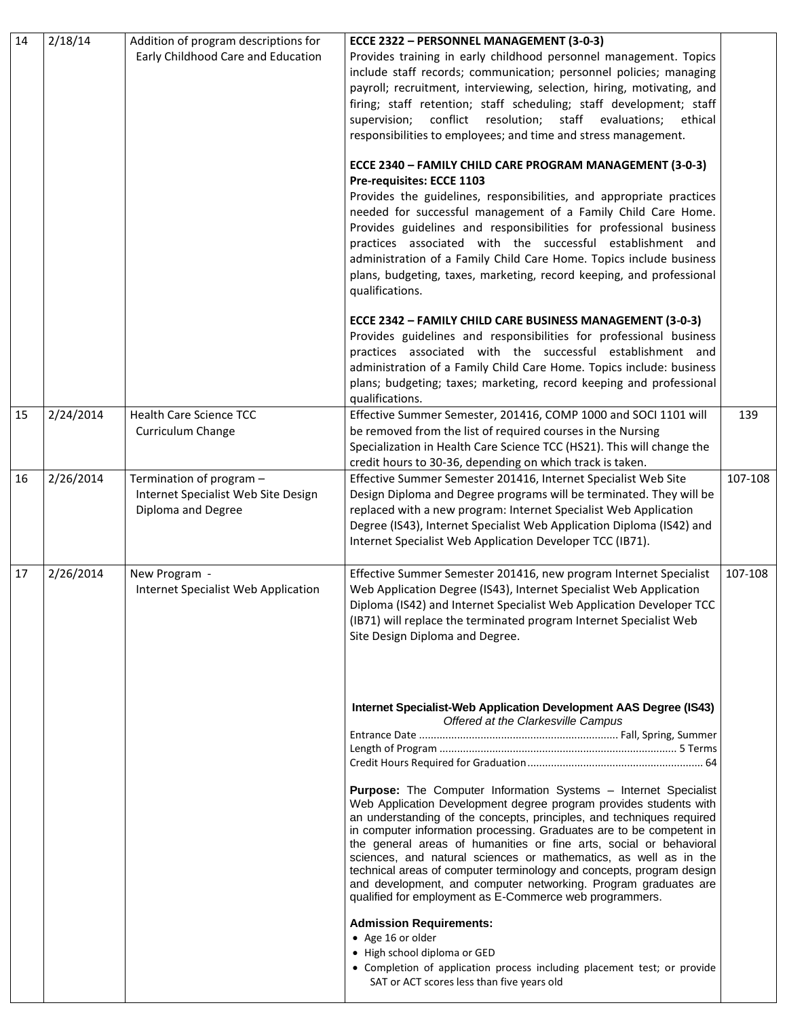| 14 | 2/18/14   | Addition of program descriptions for<br>Early Childhood Care and Education            | ECCE 2322 - PERSONNEL MANAGEMENT (3-0-3)<br>Provides training in early childhood personnel management. Topics<br>include staff records; communication; personnel policies; managing<br>payroll; recruitment, interviewing, selection, hiring, motivating, and<br>firing; staff retention; staff scheduling; staff development; staff                                                                                                                                                                                                                                                                                                         |         |
|----|-----------|---------------------------------------------------------------------------------------|----------------------------------------------------------------------------------------------------------------------------------------------------------------------------------------------------------------------------------------------------------------------------------------------------------------------------------------------------------------------------------------------------------------------------------------------------------------------------------------------------------------------------------------------------------------------------------------------------------------------------------------------|---------|
|    |           |                                                                                       | conflict resolution; staff evaluations;<br>supervision;<br>ethical<br>responsibilities to employees; and time and stress management.                                                                                                                                                                                                                                                                                                                                                                                                                                                                                                         |         |
|    |           |                                                                                       | ECCE 2340 - FAMILY CHILD CARE PROGRAM MANAGEMENT (3-0-3)<br>Pre-requisites: ECCE 1103<br>Provides the guidelines, responsibilities, and appropriate practices<br>needed for successful management of a Family Child Care Home.<br>Provides guidelines and responsibilities for professional business<br>practices associated with the successful establishment and<br>administration of a Family Child Care Home. Topics include business<br>plans, budgeting, taxes, marketing, record keeping, and professional<br>qualifications.                                                                                                         |         |
|    |           |                                                                                       | ECCE 2342 - FAMILY CHILD CARE BUSINESS MANAGEMENT (3-0-3)<br>Provides guidelines and responsibilities for professional business<br>practices associated with the successful establishment and<br>administration of a Family Child Care Home. Topics include: business<br>plans; budgeting; taxes; marketing, record keeping and professional<br>qualifications.                                                                                                                                                                                                                                                                              |         |
| 15 | 2/24/2014 | Health Care Science TCC<br>Curriculum Change                                          | Effective Summer Semester, 201416, COMP 1000 and SOCI 1101 will<br>be removed from the list of required courses in the Nursing<br>Specialization in Health Care Science TCC (HS21). This will change the<br>credit hours to 30-36, depending on which track is taken.                                                                                                                                                                                                                                                                                                                                                                        | 139     |
| 16 | 2/26/2014 | Termination of program -<br>Internet Specialist Web Site Design<br>Diploma and Degree | Effective Summer Semester 201416, Internet Specialist Web Site<br>Design Diploma and Degree programs will be terminated. They will be<br>replaced with a new program: Internet Specialist Web Application<br>Degree (IS43), Internet Specialist Web Application Diploma (IS42) and<br>Internet Specialist Web Application Developer TCC (IB71).                                                                                                                                                                                                                                                                                              | 107-108 |
| 17 | 2/26/2014 | New Program -<br>Internet Specialist Web Application                                  | Effective Summer Semester 201416, new program Internet Specialist<br>Web Application Degree (IS43), Internet Specialist Web Application<br>Diploma (IS42) and Internet Specialist Web Application Developer TCC<br>(IB71) will replace the terminated program Internet Specialist Web<br>Site Design Diploma and Degree.                                                                                                                                                                                                                                                                                                                     | 107-108 |
|    |           |                                                                                       | Internet Specialist-Web Application Development AAS Degree (IS43)<br>Offered at the Clarkesville Campus                                                                                                                                                                                                                                                                                                                                                                                                                                                                                                                                      |         |
|    |           |                                                                                       | <b>Purpose:</b> The Computer Information Systems - Internet Specialist<br>Web Application Development degree program provides students with<br>an understanding of the concepts, principles, and techniques required<br>in computer information processing. Graduates are to be competent in<br>the general areas of humanities or fine arts, social or behavioral<br>sciences, and natural sciences or mathematics, as well as in the<br>technical areas of computer terminology and concepts, program design<br>and development, and computer networking. Program graduates are<br>qualified for employment as E-Commerce web programmers. |         |
|    |           |                                                                                       | <b>Admission Requirements:</b><br>• Age 16 or older<br>• High school diploma or GED<br>• Completion of application process including placement test; or provide<br>SAT or ACT scores less than five years old                                                                                                                                                                                                                                                                                                                                                                                                                                |         |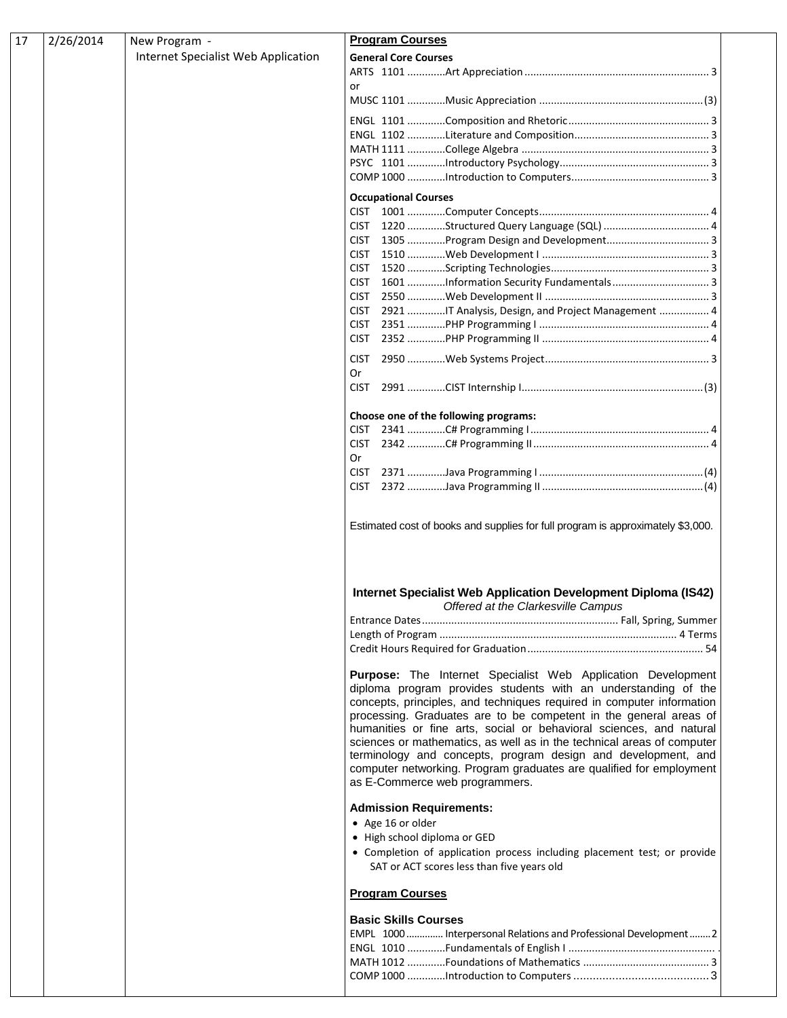| 17 | 2/26/2014 | New Program -                       | <b>Program Courses</b>                                                                                                                                                                                                                                                                                                                                                                                                                                                                                                                                                                                  |
|----|-----------|-------------------------------------|---------------------------------------------------------------------------------------------------------------------------------------------------------------------------------------------------------------------------------------------------------------------------------------------------------------------------------------------------------------------------------------------------------------------------------------------------------------------------------------------------------------------------------------------------------------------------------------------------------|
|    |           | Internet Specialist Web Application | <b>General Core Courses</b>                                                                                                                                                                                                                                                                                                                                                                                                                                                                                                                                                                             |
|    |           |                                     |                                                                                                                                                                                                                                                                                                                                                                                                                                                                                                                                                                                                         |
|    |           |                                     | or                                                                                                                                                                                                                                                                                                                                                                                                                                                                                                                                                                                                      |
|    |           |                                     |                                                                                                                                                                                                                                                                                                                                                                                                                                                                                                                                                                                                         |
|    |           |                                     |                                                                                                                                                                                                                                                                                                                                                                                                                                                                                                                                                                                                         |
|    |           |                                     |                                                                                                                                                                                                                                                                                                                                                                                                                                                                                                                                                                                                         |
|    |           |                                     |                                                                                                                                                                                                                                                                                                                                                                                                                                                                                                                                                                                                         |
|    |           |                                     |                                                                                                                                                                                                                                                                                                                                                                                                                                                                                                                                                                                                         |
|    |           |                                     | <b>Occupational Courses</b>                                                                                                                                                                                                                                                                                                                                                                                                                                                                                                                                                                             |
|    |           |                                     |                                                                                                                                                                                                                                                                                                                                                                                                                                                                                                                                                                                                         |
|    |           |                                     | <b>CIST</b>                                                                                                                                                                                                                                                                                                                                                                                                                                                                                                                                                                                             |
|    |           |                                     |                                                                                                                                                                                                                                                                                                                                                                                                                                                                                                                                                                                                         |
|    |           |                                     |                                                                                                                                                                                                                                                                                                                                                                                                                                                                                                                                                                                                         |
|    |           |                                     | <b>CIST</b>                                                                                                                                                                                                                                                                                                                                                                                                                                                                                                                                                                                             |
|    |           |                                     | <b>CIST</b>                                                                                                                                                                                                                                                                                                                                                                                                                                                                                                                                                                                             |
|    |           |                                     | <b>CIST</b><br>2921 IT Analysis, Design, and Project Management  4<br><b>CIST</b>                                                                                                                                                                                                                                                                                                                                                                                                                                                                                                                       |
|    |           |                                     | <b>CIST</b>                                                                                                                                                                                                                                                                                                                                                                                                                                                                                                                                                                                             |
|    |           |                                     | <b>CIST</b>                                                                                                                                                                                                                                                                                                                                                                                                                                                                                                                                                                                             |
|    |           |                                     | Or                                                                                                                                                                                                                                                                                                                                                                                                                                                                                                                                                                                                      |
|    |           |                                     | <b>CIST</b>                                                                                                                                                                                                                                                                                                                                                                                                                                                                                                                                                                                             |
|    |           |                                     | Choose one of the following programs:                                                                                                                                                                                                                                                                                                                                                                                                                                                                                                                                                                   |
|    |           |                                     | <b>CIST</b>                                                                                                                                                                                                                                                                                                                                                                                                                                                                                                                                                                                             |
|    |           |                                     | <b>CIST</b>                                                                                                                                                                                                                                                                                                                                                                                                                                                                                                                                                                                             |
|    |           |                                     | Or<br><b>CIST</b>                                                                                                                                                                                                                                                                                                                                                                                                                                                                                                                                                                                       |
|    |           |                                     | <b>CIST</b>                                                                                                                                                                                                                                                                                                                                                                                                                                                                                                                                                                                             |
|    |           |                                     |                                                                                                                                                                                                                                                                                                                                                                                                                                                                                                                                                                                                         |
|    |           |                                     | Internet Specialist Web Application Development Diploma (IS42)<br>Offered at the Clarkesville Campus                                                                                                                                                                                                                                                                                                                                                                                                                                                                                                    |
|    |           |                                     |                                                                                                                                                                                                                                                                                                                                                                                                                                                                                                                                                                                                         |
|    |           |                                     |                                                                                                                                                                                                                                                                                                                                                                                                                                                                                                                                                                                                         |
|    |           |                                     |                                                                                                                                                                                                                                                                                                                                                                                                                                                                                                                                                                                                         |
|    |           |                                     | Purpose: The Internet Specialist Web Application Development<br>diploma program provides students with an understanding of the<br>concepts, principles, and techniques required in computer information<br>processing. Graduates are to be competent in the general areas of<br>humanities or fine arts, social or behavioral sciences, and natural<br>sciences or mathematics, as well as in the technical areas of computer<br>terminology and concepts, program design and development, and<br>computer networking. Program graduates are qualified for employment<br>as E-Commerce web programmers. |
|    |           |                                     | <b>Admission Requirements:</b><br>• Age 16 or older<br>• High school diploma or GED<br>• Completion of application process including placement test; or provide<br>SAT or ACT scores less than five years old                                                                                                                                                                                                                                                                                                                                                                                           |
|    |           |                                     | <b>Program Courses</b>                                                                                                                                                                                                                                                                                                                                                                                                                                                                                                                                                                                  |
|    |           |                                     | <b>Basic Skills Courses</b>                                                                                                                                                                                                                                                                                                                                                                                                                                                                                                                                                                             |
|    |           |                                     | EMPL 1000  Interpersonal Relations and Professional Development  2                                                                                                                                                                                                                                                                                                                                                                                                                                                                                                                                      |
|    |           |                                     |                                                                                                                                                                                                                                                                                                                                                                                                                                                                                                                                                                                                         |
|    |           |                                     |                                                                                                                                                                                                                                                                                                                                                                                                                                                                                                                                                                                                         |
|    |           |                                     |                                                                                                                                                                                                                                                                                                                                                                                                                                                                                                                                                                                                         |
|    |           |                                     |                                                                                                                                                                                                                                                                                                                                                                                                                                                                                                                                                                                                         |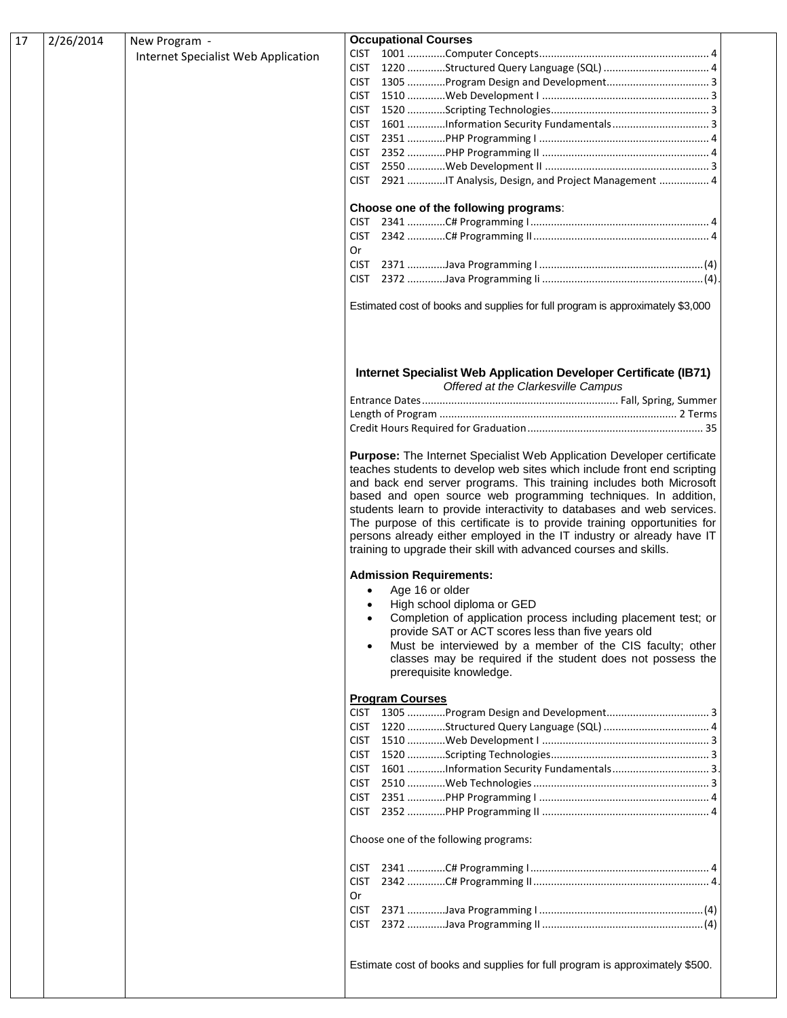| 2/26/2014<br>New Program -<br>17    | <b>Occupational Courses</b>                                                                                                                                                                                                                                                                                                                                                                                                                                                                                                                                                                    |
|-------------------------------------|------------------------------------------------------------------------------------------------------------------------------------------------------------------------------------------------------------------------------------------------------------------------------------------------------------------------------------------------------------------------------------------------------------------------------------------------------------------------------------------------------------------------------------------------------------------------------------------------|
| Internet Specialist Web Application |                                                                                                                                                                                                                                                                                                                                                                                                                                                                                                                                                                                                |
|                                     |                                                                                                                                                                                                                                                                                                                                                                                                                                                                                                                                                                                                |
|                                     |                                                                                                                                                                                                                                                                                                                                                                                                                                                                                                                                                                                                |
|                                     |                                                                                                                                                                                                                                                                                                                                                                                                                                                                                                                                                                                                |
|                                     |                                                                                                                                                                                                                                                                                                                                                                                                                                                                                                                                                                                                |
|                                     |                                                                                                                                                                                                                                                                                                                                                                                                                                                                                                                                                                                                |
|                                     |                                                                                                                                                                                                                                                                                                                                                                                                                                                                                                                                                                                                |
|                                     |                                                                                                                                                                                                                                                                                                                                                                                                                                                                                                                                                                                                |
|                                     |                                                                                                                                                                                                                                                                                                                                                                                                                                                                                                                                                                                                |
|                                     | CIST 2921 IT Analysis, Design, and Project Management  4                                                                                                                                                                                                                                                                                                                                                                                                                                                                                                                                       |
|                                     |                                                                                                                                                                                                                                                                                                                                                                                                                                                                                                                                                                                                |
|                                     | Choose one of the following programs:                                                                                                                                                                                                                                                                                                                                                                                                                                                                                                                                                          |
|                                     |                                                                                                                                                                                                                                                                                                                                                                                                                                                                                                                                                                                                |
|                                     |                                                                                                                                                                                                                                                                                                                                                                                                                                                                                                                                                                                                |
|                                     | 0r                                                                                                                                                                                                                                                                                                                                                                                                                                                                                                                                                                                             |
|                                     |                                                                                                                                                                                                                                                                                                                                                                                                                                                                                                                                                                                                |
|                                     |                                                                                                                                                                                                                                                                                                                                                                                                                                                                                                                                                                                                |
|                                     | Estimated cost of books and supplies for full program is approximately \$3,000                                                                                                                                                                                                                                                                                                                                                                                                                                                                                                                 |
|                                     | Internet Specialist Web Application Developer Certificate (IB71)                                                                                                                                                                                                                                                                                                                                                                                                                                                                                                                               |
|                                     | Offered at the Clarkesville Campus                                                                                                                                                                                                                                                                                                                                                                                                                                                                                                                                                             |
|                                     |                                                                                                                                                                                                                                                                                                                                                                                                                                                                                                                                                                                                |
|                                     |                                                                                                                                                                                                                                                                                                                                                                                                                                                                                                                                                                                                |
|                                     |                                                                                                                                                                                                                                                                                                                                                                                                                                                                                                                                                                                                |
|                                     | Purpose: The Internet Specialist Web Application Developer certificate<br>teaches students to develop web sites which include front end scripting<br>and back end server programs. This training includes both Microsoft<br>based and open source web programming techniques. In addition,<br>students learn to provide interactivity to databases and web services.<br>The purpose of this certificate is to provide training opportunities for<br>persons already either employed in the IT industry or already have IT<br>training to upgrade their skill with advanced courses and skills. |
|                                     | <b>Admission Requirements:</b>                                                                                                                                                                                                                                                                                                                                                                                                                                                                                                                                                                 |
|                                     | • Age 16 or older                                                                                                                                                                                                                                                                                                                                                                                                                                                                                                                                                                              |
|                                     | High school diploma or GED                                                                                                                                                                                                                                                                                                                                                                                                                                                                                                                                                                     |
|                                     | Completion of application process including placement test; or<br>provide SAT or ACT scores less than five years old                                                                                                                                                                                                                                                                                                                                                                                                                                                                           |
|                                     | Must be interviewed by a member of the CIS faculty; other                                                                                                                                                                                                                                                                                                                                                                                                                                                                                                                                      |
|                                     | classes may be required if the student does not possess the<br>prerequisite knowledge.                                                                                                                                                                                                                                                                                                                                                                                                                                                                                                         |
|                                     |                                                                                                                                                                                                                                                                                                                                                                                                                                                                                                                                                                                                |
|                                     | <b>Program Courses</b>                                                                                                                                                                                                                                                                                                                                                                                                                                                                                                                                                                         |
|                                     |                                                                                                                                                                                                                                                                                                                                                                                                                                                                                                                                                                                                |
|                                     |                                                                                                                                                                                                                                                                                                                                                                                                                                                                                                                                                                                                |
|                                     |                                                                                                                                                                                                                                                                                                                                                                                                                                                                                                                                                                                                |
|                                     |                                                                                                                                                                                                                                                                                                                                                                                                                                                                                                                                                                                                |
|                                     | CIST                                                                                                                                                                                                                                                                                                                                                                                                                                                                                                                                                                                           |
|                                     | <b>CIST</b>                                                                                                                                                                                                                                                                                                                                                                                                                                                                                                                                                                                    |
|                                     | <b>CIST</b>                                                                                                                                                                                                                                                                                                                                                                                                                                                                                                                                                                                    |
|                                     |                                                                                                                                                                                                                                                                                                                                                                                                                                                                                                                                                                                                |
|                                     |                                                                                                                                                                                                                                                                                                                                                                                                                                                                                                                                                                                                |
|                                     | Choose one of the following programs:                                                                                                                                                                                                                                                                                                                                                                                                                                                                                                                                                          |
|                                     | CIST                                                                                                                                                                                                                                                                                                                                                                                                                                                                                                                                                                                           |
|                                     |                                                                                                                                                                                                                                                                                                                                                                                                                                                                                                                                                                                                |
|                                     | <b>Or</b>                                                                                                                                                                                                                                                                                                                                                                                                                                                                                                                                                                                      |
|                                     | <b>CIST</b>                                                                                                                                                                                                                                                                                                                                                                                                                                                                                                                                                                                    |
|                                     |                                                                                                                                                                                                                                                                                                                                                                                                                                                                                                                                                                                                |
|                                     |                                                                                                                                                                                                                                                                                                                                                                                                                                                                                                                                                                                                |
|                                     | Estimate cost of books and supplies for full program is approximately \$500.                                                                                                                                                                                                                                                                                                                                                                                                                                                                                                                   |
|                                     |                                                                                                                                                                                                                                                                                                                                                                                                                                                                                                                                                                                                |
|                                     |                                                                                                                                                                                                                                                                                                                                                                                                                                                                                                                                                                                                |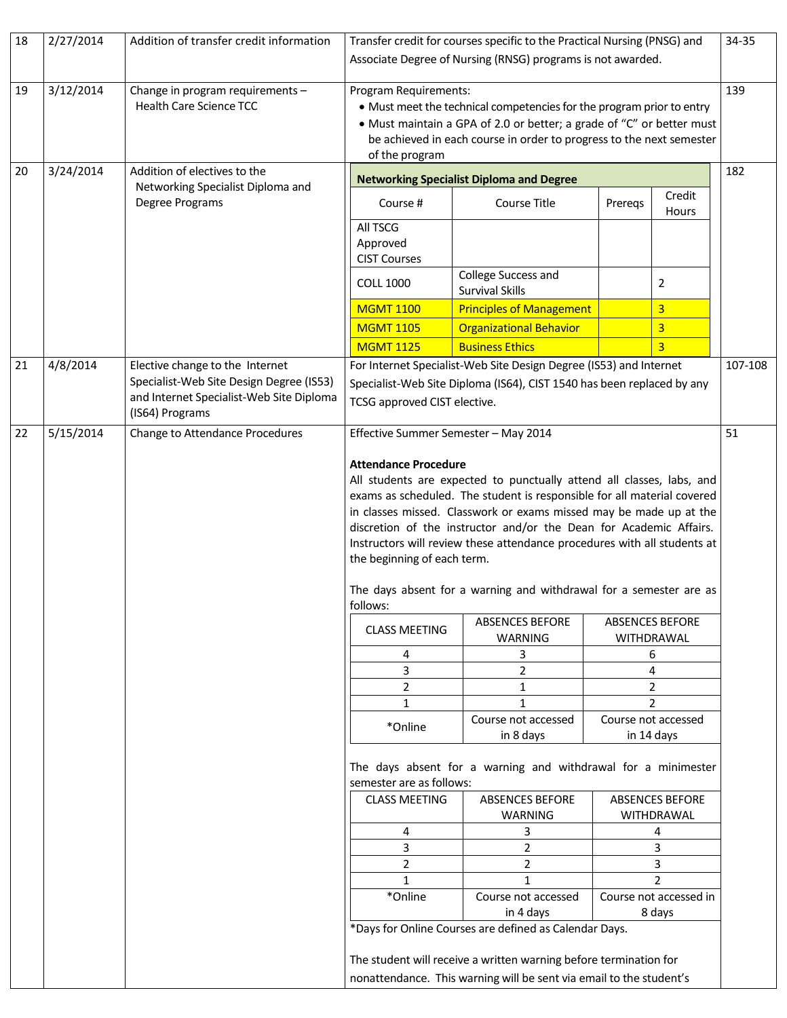| 18 | 2/27/2014 | Addition of transfer credit information                                                                                                    | Transfer credit for courses specific to the Practical Nursing (PNSG) and                                                                                                                                                                                                                                                                                                                                                                                                                                                 |                                                                                                                                                                                                    |         |                                      | 34-35 |
|----|-----------|--------------------------------------------------------------------------------------------------------------------------------------------|--------------------------------------------------------------------------------------------------------------------------------------------------------------------------------------------------------------------------------------------------------------------------------------------------------------------------------------------------------------------------------------------------------------------------------------------------------------------------------------------------------------------------|----------------------------------------------------------------------------------------------------------------------------------------------------------------------------------------------------|---------|--------------------------------------|-------|
|    |           |                                                                                                                                            | Associate Degree of Nursing (RNSG) programs is not awarded.                                                                                                                                                                                                                                                                                                                                                                                                                                                              |                                                                                                                                                                                                    |         |                                      |       |
| 19 | 3/12/2014 | Change in program requirements -<br><b>Health Care Science TCC</b>                                                                         | 139<br>Program Requirements:<br>• Must meet the technical competencies for the program prior to entry<br>• Must maintain a GPA of 2.0 or better; a grade of "C" or better must<br>be achieved in each course in order to progress to the next semester<br>of the program                                                                                                                                                                                                                                                 |                                                                                                                                                                                                    |         |                                      |       |
| 20 | 3/24/2014 | Addition of electives to the                                                                                                               |                                                                                                                                                                                                                                                                                                                                                                                                                                                                                                                          | <b>Networking Specialist Diploma and Degree</b>                                                                                                                                                    |         |                                      | 182   |
|    |           | Networking Specialist Diploma and<br>Degree Programs                                                                                       | Course #                                                                                                                                                                                                                                                                                                                                                                                                                                                                                                                 | Course Title                                                                                                                                                                                       | Preregs | Credit<br>Hours                      |       |
|    |           |                                                                                                                                            | All TSCG<br>Approved<br><b>CIST Courses</b>                                                                                                                                                                                                                                                                                                                                                                                                                                                                              |                                                                                                                                                                                                    |         |                                      |       |
|    |           |                                                                                                                                            | <b>COLL 1000</b>                                                                                                                                                                                                                                                                                                                                                                                                                                                                                                         | College Success and<br><b>Survival Skills</b>                                                                                                                                                      |         | $\overline{2}$                       |       |
|    |           |                                                                                                                                            | <b>MGMT 1100</b>                                                                                                                                                                                                                                                                                                                                                                                                                                                                                                         | <b>Principles of Management</b>                                                                                                                                                                    |         | $\overline{3}$                       |       |
|    |           |                                                                                                                                            | <b>MGMT 1105</b>                                                                                                                                                                                                                                                                                                                                                                                                                                                                                                         | <b>Organizational Behavior</b>                                                                                                                                                                     |         | $\overline{3}$                       |       |
|    |           |                                                                                                                                            | <b>MGMT 1125</b>                                                                                                                                                                                                                                                                                                                                                                                                                                                                                                         | <b>Business Ethics</b>                                                                                                                                                                             |         | $\overline{3}$                       |       |
| 21 | 4/8/2014  | Elective change to the Internet<br>Specialist-Web Site Design Degree (IS53)<br>and Internet Specialist-Web Site Diploma<br>(IS64) Programs | For Internet Specialist-Web Site Design Degree (IS53) and Internet<br>Specialist-Web Site Diploma (IS64), CIST 1540 has been replaced by any<br>TCSG approved CIST elective.                                                                                                                                                                                                                                                                                                                                             |                                                                                                                                                                                                    |         |                                      |       |
| 22 | 5/15/2014 | Change to Attendance Procedures                                                                                                            | Effective Summer Semester - May 2014<br>51                                                                                                                                                                                                                                                                                                                                                                                                                                                                               |                                                                                                                                                                                                    |         |                                      |       |
|    |           |                                                                                                                                            | <b>Attendance Procedure</b><br>All students are expected to punctually attend all classes, labs, and<br>exams as scheduled. The student is responsible for all material covered<br>in classes missed. Classwork or exams missed may be made up at the<br>discretion of the instructor and/or the Dean for Academic Affairs.<br>Instructors will review these attendance procedures with all students at<br>the beginning of each term.<br>The days absent for a warning and withdrawal for a semester are as<br>follows: |                                                                                                                                                                                                    |         |                                      |       |
|    |           |                                                                                                                                            | <b>CLASS MEETING</b>                                                                                                                                                                                                                                                                                                                                                                                                                                                                                                     | <b>ABSENCES BEFORE</b><br>WARNING                                                                                                                                                                  |         | <b>ABSENCES BEFORE</b><br>WITHDRAWAL |       |
|    |           |                                                                                                                                            | 4                                                                                                                                                                                                                                                                                                                                                                                                                                                                                                                        | 3                                                                                                                                                                                                  |         | 6                                    |       |
|    |           |                                                                                                                                            | 3                                                                                                                                                                                                                                                                                                                                                                                                                                                                                                                        | $\overline{2}$                                                                                                                                                                                     |         | 4                                    |       |
|    |           |                                                                                                                                            | $\overline{2}$<br>$\mathbf{1}$                                                                                                                                                                                                                                                                                                                                                                                                                                                                                           | $\mathbf{1}$<br>1                                                                                                                                                                                  |         | $\overline{2}$<br>2                  |       |
|    |           |                                                                                                                                            | *Online                                                                                                                                                                                                                                                                                                                                                                                                                                                                                                                  | Course not accessed<br>in 8 days                                                                                                                                                                   |         | Course not accessed<br>in 14 days    |       |
|    |           |                                                                                                                                            | semester are as follows:                                                                                                                                                                                                                                                                                                                                                                                                                                                                                                 | The days absent for a warning and withdrawal for a minimester                                                                                                                                      |         |                                      |       |
|    |           |                                                                                                                                            | <b>CLASS MEETING</b>                                                                                                                                                                                                                                                                                                                                                                                                                                                                                                     | <b>ABSENCES BEFORE</b><br>WARNING                                                                                                                                                                  |         | <b>ABSENCES BEFORE</b><br>WITHDRAWAL |       |
|    |           |                                                                                                                                            | 4                                                                                                                                                                                                                                                                                                                                                                                                                                                                                                                        | 3                                                                                                                                                                                                  |         | 4                                    |       |
|    |           |                                                                                                                                            | 3<br>$\overline{2}$                                                                                                                                                                                                                                                                                                                                                                                                                                                                                                      | $\overline{2}$<br>$\overline{2}$                                                                                                                                                                   |         | 3<br>3                               |       |
|    |           |                                                                                                                                            | 1                                                                                                                                                                                                                                                                                                                                                                                                                                                                                                                        | $\mathbf{1}$                                                                                                                                                                                       |         | 2                                    |       |
|    |           |                                                                                                                                            | *Online                                                                                                                                                                                                                                                                                                                                                                                                                                                                                                                  | Course not accessed                                                                                                                                                                                |         | Course not accessed in               |       |
|    |           |                                                                                                                                            |                                                                                                                                                                                                                                                                                                                                                                                                                                                                                                                          | in 4 days                                                                                                                                                                                          |         | 8 days                               |       |
|    |           |                                                                                                                                            |                                                                                                                                                                                                                                                                                                                                                                                                                                                                                                                          | *Days for Online Courses are defined as Calendar Days.<br>The student will receive a written warning before termination for<br>nonattendance. This warning will be sent via email to the student's |         |                                      |       |